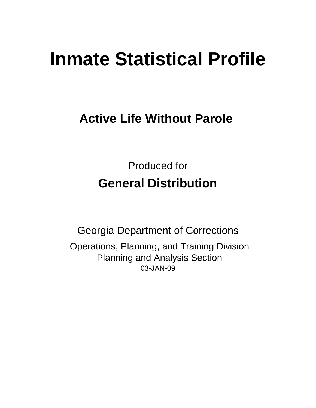# **Inmate Statistical Profile**

## **Active Life Without Parole**

Produced for **General Distribution**

03-JAN-09 Georgia Department of Corrections Operations, Planning, and Training Division Planning and Analysis Section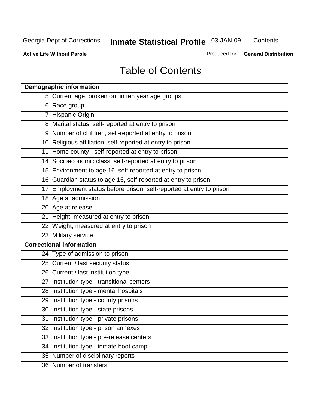**Contents** 

**Active Life Without Parole** 

Produced for **General Distribution**

## Table of Contents

| <b>Demographic information</b>                                       |
|----------------------------------------------------------------------|
| 5 Current age, broken out in ten year age groups                     |
| 6 Race group                                                         |
| 7 Hispanic Origin                                                    |
| 8 Marital status, self-reported at entry to prison                   |
| 9 Number of children, self-reported at entry to prison               |
| 10 Religious affiliation, self-reported at entry to prison           |
| 11 Home county - self-reported at entry to prison                    |
| 14 Socioeconomic class, self-reported at entry to prison             |
| 15 Environment to age 16, self-reported at entry to prison           |
| 16 Guardian status to age 16, self-reported at entry to prison       |
| 17 Employment status before prison, self-reported at entry to prison |
| 18 Age at admission                                                  |
| 20 Age at release                                                    |
| 21 Height, measured at entry to prison                               |
| 22 Weight, measured at entry to prison                               |
| 23 Military service                                                  |
| <b>Correctional information</b>                                      |
| 24 Type of admission to prison                                       |
| 25 Current / last security status                                    |
| 26 Current / last institution type                                   |
| 27 Institution type - transitional centers                           |
| 28 Institution type - mental hospitals                               |
| 29 Institution type - county prisons                                 |
| 30 Institution type - state prisons                                  |
| 31 Institution type - private prisons                                |
| 32 Institution type - prison annexes                                 |
| 33 Institution type - pre-release centers                            |
| 34 Institution type - inmate boot camp                               |
| 35 Number of disciplinary reports                                    |
| 36 Number of transfers                                               |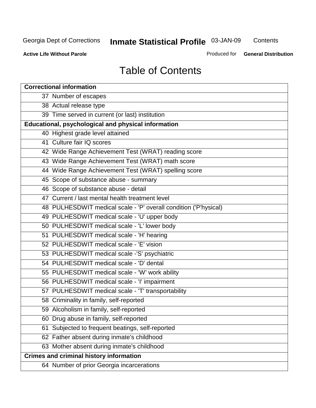**Contents** 

**Active Life Without Parole** 

Produced for **General Distribution**

## Table of Contents

| <b>Correctional information</b>                                  |
|------------------------------------------------------------------|
| 37 Number of escapes                                             |
| 38 Actual release type                                           |
| 39 Time served in current (or last) institution                  |
| Educational, psychological and physical information              |
| 40 Highest grade level attained                                  |
| 41 Culture fair IQ scores                                        |
| 42 Wide Range Achievement Test (WRAT) reading score              |
| 43 Wide Range Achievement Test (WRAT) math score                 |
| 44 Wide Range Achievement Test (WRAT) spelling score             |
| 45 Scope of substance abuse - summary                            |
| 46 Scope of substance abuse - detail                             |
| 47 Current / last mental health treatment level                  |
| 48 PULHESDWIT medical scale - 'P' overall condition ('P'hysical) |
| 49 PULHESDWIT medical scale - 'U' upper body                     |
| 50 PULHESDWIT medical scale - 'L' lower body                     |
| 51 PULHESDWIT medical scale - 'H' hearing                        |
| 52 PULHESDWIT medical scale - 'E' vision                         |
| 53 PULHESDWIT medical scale -'S' psychiatric                     |
| 54 PULHESDWIT medical scale - 'D' dental                         |
| 55 PULHESDWIT medical scale - 'W' work ability                   |
| 56 PULHESDWIT medical scale - 'I' impairment                     |
| 57 PULHESDWIT medical scale - 'T' transportability               |
| 58 Criminality in family, self-reported                          |
| 59 Alcoholism in family, self-reported                           |
| 60 Drug abuse in family, self-reported                           |
| Subjected to frequent beatings, self-reported<br>61              |
| 62 Father absent during inmate's childhood                       |
| 63 Mother absent during inmate's childhood                       |
| <b>Crimes and criminal history information</b>                   |
| 64 Number of prior Georgia incarcerations                        |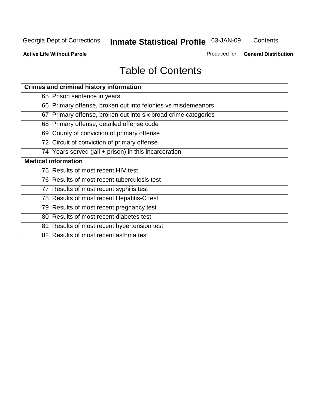**Contents** 

**Active Life Without Parole** 

Produced for **General Distribution**

## Table of Contents

| <b>Crimes and criminal history information</b>                 |
|----------------------------------------------------------------|
| 65 Prison sentence in years                                    |
| 66 Primary offense, broken out into felonies vs misdemeanors   |
| 67 Primary offense, broken out into six broad crime categories |
| 68 Primary offense, detailed offense code                      |
| 69 County of conviction of primary offense                     |
| 72 Circuit of conviction of primary offense                    |
| 74 Years served (jail + prison) in this incarceration          |
| <b>Medical information</b>                                     |
| 75 Results of most recent HIV test                             |
| 76 Results of most recent tuberculosis test                    |
| 77 Results of most recent syphilis test                        |
| 78 Results of most recent Hepatitis-C test                     |
| 79 Results of most recent pregnancy test                       |
| 80 Results of most recent diabetes test                        |
| 81 Results of most recent hypertension test                    |
| 82 Results of most recent asthma test                          |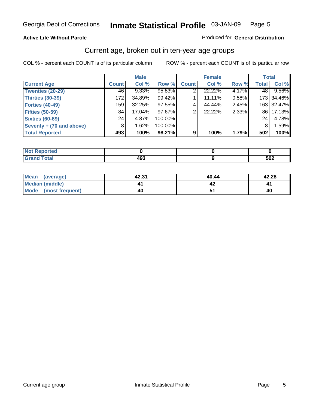#### **Active Life Without Parole**

#### Produced for **General Distribution**

#### Current age, broken out in ten-year age groups

|                          |              | <b>Male</b> |         |              | <b>Female</b> |       |                | <b>Total</b> |
|--------------------------|--------------|-------------|---------|--------------|---------------|-------|----------------|--------------|
| <b>Current Age</b>       | <b>Count</b> | Col %       | Row %   | <b>Count</b> | Col %         | Row % | <b>Total</b>   | Col %        |
| <b>Twenties (20-29)</b>  | 46           | $9.33\%$    | 95.83%  | 2            | 22.22%        | 4.17% | 48 l           | 9.56%        |
| <b>Thirties (30-39)</b>  | 172          | 34.89%      | 99.42%  |              | 11.11%        | 0.58% |                | 173 34.46%   |
| <b>Forties (40-49)</b>   | 159          | 32.25%      | 97.55%  | 4            | 44.44%        | 2.45% |                | 163 32.47%   |
| <b>Fifties (50-59)</b>   | 84           | 17.04%      | 97.67%  | 2            | 22.22%        | 2.33% | 861            | 17.13%       |
| <b>Sixties (60-69)</b>   | 24           | 4.87%       | 100.00% |              |               |       | 24             | 4.78%        |
| Seventy + (70 and above) | 8            | 1.62%       | 100.00% |              |               |       | 8 <sup>1</sup> | 1.59%        |
| <b>Total Reported</b>    | 493          | 100%        | 98.21%  | 9            | 100%          | 1.79% | 502            | 100%         |

| <b>NOT Reported</b> |     |            |
|---------------------|-----|------------|
| <b>Grand Total</b>  | 493 | - 20<br>שט |

| Mean (average)       | 42.31 | 40.44 | 42.28 |
|----------------------|-------|-------|-------|
| Median (middle)      |       |       |       |
| Mode (most frequent) | 40    |       | 40    |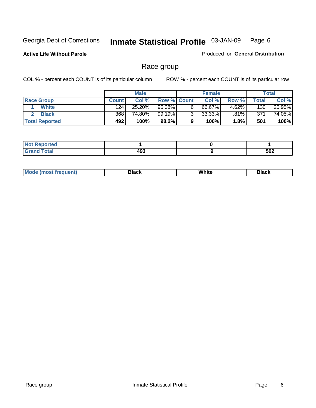**Active Life Without Parole** 

Produced for **General Distribution**

#### Race group

|                       |              | <b>Male</b> |             |   | <b>Female</b> |          |       | <b>Total</b> |
|-----------------------|--------------|-------------|-------------|---|---------------|----------|-------|--------------|
| <b>Race Group</b>     | <b>Count</b> | Col %       | Row % Count |   | Col %         | Row %    | Total | Col %        |
| <b>White</b>          | 124          | 25.20%      | 95.38%      | 6 | 66.67%        | $4.62\%$ | 130   | 25.95%       |
| <b>Black</b>          | 368          | 74.80%      | 99.19%I     | ◠ | $33.33\%$     | .81%     | 371   | 74.05%       |
| <b>Total Reported</b> | 492          | 100%        | 98.2%       |   | 100%          | 1.8%I    | 501   | 100%         |

| <b>Reported</b><br>.<br>$\cdots$ |     |     |
|----------------------------------|-----|-----|
| fota!<br>_____                   | 493 | 502 |

| $^1$ Mo. | Rlack | White | 3lack |
|----------|-------|-------|-------|
| .        |       |       |       |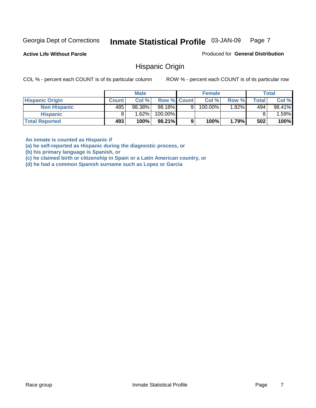**Active Life Without Parole** 

Produced for **General Distribution**

#### Hispanic Origin

COL % - percent each COUNT is of its particular column ROW % - percent each COUNT is of its particular row

|                        |              | <b>Male</b> |                    |   | <b>Female</b> |          |              | <b>Total</b> |
|------------------------|--------------|-------------|--------------------|---|---------------|----------|--------------|--------------|
| <b>Hispanic Origin</b> | <b>Count</b> | Col %       | <b>Row % Count</b> |   | Col %         | Row %    | <b>Total</b> | Col %        |
| <b>Non Hispanic</b>    | 485          | 98.38%      | 98.18%             | 9 | 100.00%       | $1.82\%$ | 494          | 98.41%       |
| <b>Hispanic</b>        |              | 1.62%       | 100.00%            |   |               |          |              | .59%         |
| <b>Total Reported</b>  | 493          | 100%        | 98.21%             |   | 100%          | 1.79%    | 502          | 100%         |

**An inmate is counted as Hispanic if** 

**(a) he self-reported as Hispanic during the diagnostic process, or** 

**(b) his primary language is Spanish, or** 

**(c) he claimed birth or citizenship in Spain or a Latin American country, or** 

**(d) he had a common Spanish surname such as Lopez or Garcia**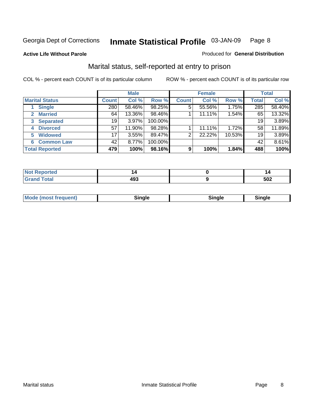#### **Active Life Without Parole**

#### Produced for **General Distribution**

#### Marital status, self-reported at entry to prison

|                        | <b>Male</b>  |        |         | <b>Female</b>  |        |        | <b>Total</b> |        |
|------------------------|--------------|--------|---------|----------------|--------|--------|--------------|--------|
| <b>Marital Status</b>  | <b>Count</b> | Col %  | Row %   | <b>Count</b>   | Col %  | Row %  | <b>Total</b> | Col %  |
| <b>Single</b>          | 280          | 58.46% | 98.25%  | 5              | 55.56% | 1.75%  | 285          | 58.40% |
| <b>Married</b><br>2.   | 64           | 13.36% | 98.46%  |                | 11.11% | 1.54%  | 65           | 13.32% |
| <b>Separated</b><br>3  | 19           | 3.97%  | 100.00% |                |        |        | 19           | 3.89%  |
| <b>Divorced</b><br>4   | 57           | 11.90% | 98.28%  |                | 11.11% | 1.72%  | 58           | 11.89% |
| <b>Widowed</b><br>5    | 17           | 3.55%  | 89.47%  | $\overline{2}$ | 22.22% | 10.53% | 19           | 3.89%  |
| <b>Common Law</b><br>6 | 42           | 8.77%  | 100.00% |                |        |        | 42           | 8.61%  |
| <b>Total Reported</b>  | 479          | 100%   | 98.16%  | 9              | 100%   | 1.84%  | 488          | 100%   |

|             | 14         |
|-------------|------------|
| "^^<br>$ -$ | にハク<br>◡◡▵ |

| <b>Mode (most frequent)</b><br>Sinale<br>™ale |
|-----------------------------------------------|
|-----------------------------------------------|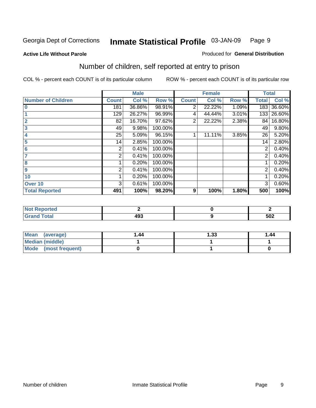#### **Active Life Without Parole**

#### Produced for **General Distribution**

## Number of children, self reported at entry to prison

|                           |              | <b>Male</b> |         |                | <b>Female</b> |       | <b>Total</b> |        |
|---------------------------|--------------|-------------|---------|----------------|---------------|-------|--------------|--------|
| <b>Number of Children</b> | <b>Count</b> | Col %       | Row %   | <b>Count</b>   | Col %         | Row % | <b>Total</b> | Col %  |
| $\bf{0}$                  | 181          | 36.86%      | 98.91%  | 2              | 22.22%        | 1.09% | 183          | 36.60% |
|                           | 129          | 26.27%      | 96.99%  | 4              | 44.44%        | 3.01% | 133          | 26.60% |
| $\overline{2}$            | 82           | 16.70%      | 97.62%  | $\overline{2}$ | 22.22%        | 2.38% | 84           | 16.80% |
| 3                         | 49           | 9.98%       | 100.00% |                |               |       | 49           | 9.80%  |
| 4                         | 25           | 5.09%       | 96.15%  |                | 11.11%        | 3.85% | 26           | 5.20%  |
| 5                         | 14           | 2.85%       | 100.00% |                |               |       | 14           | 2.80%  |
| $6\phantom{a}$            | 2            | 0.41%       | 100.00% |                |               |       | 2            | 0.40%  |
|                           | 2            | 0.41%       | 100.00% |                |               |       | 2            | 0.40%  |
| 8                         |              | 0.20%       | 100.00% |                |               |       |              | 0.20%  |
| 9                         | 2            | 0.41%       | 100.00% |                |               |       | 2            | 0.40%  |
| 10                        |              | 0.20%       | 100.00% |                |               |       |              | 0.20%  |
| Over 10                   | 3            | 0.61%       | 100.00% |                |               |       | 3            | 0.60%  |
| <b>Total Reported</b>     | 491          | 100%        | 98.20%  | 9              | 100%          | 1.80% | 500          | 100%   |

| nrtea<br>.                              |            |     |
|-----------------------------------------|------------|-----|
| <b>otal</b><br>$\sim$ . $\sim$ . $\sim$ | ההו<br>,,, | 502 |

| <b>Mean</b><br>(average) | 1.44 | 1.33 | 1.44 |
|--------------------------|------|------|------|
| <b>Median (middle)</b>   |      |      |      |
| Mode (most frequent)     |      |      |      |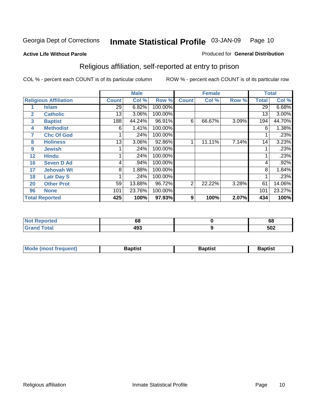#### **Active Life Without Parole**

#### Produced for **General Distribution**

## Religious affiliation, self-reported at entry to prison

|              |                              |              | <b>Male</b> |         |                | <b>Female</b> |       |              | <b>Total</b> |
|--------------|------------------------------|--------------|-------------|---------|----------------|---------------|-------|--------------|--------------|
|              | <b>Religious Affiliation</b> | <b>Count</b> | Col %       | Row %   | <b>Count</b>   | Col %         | Row % | <b>Total</b> | Col %        |
|              | <b>Islam</b>                 | 29.          | 6.82%       | 100.00% |                |               |       | 29           | 6.68%        |
| $\mathbf{2}$ | <b>Catholic</b>              | 13           | 3.06%       | 100.00% |                |               |       | 13           | $3.00\%$     |
| 3            | <b>Baptist</b>               | 188          | 44.24%      | 96.91%  | 6              | 66.67%        | 3.09% | 194          | 44.70%       |
| 4            | <b>Methodist</b>             | 6            | 1.41%       | 100.00% |                |               |       | 6            | 1.38%        |
| 7            | <b>Chc Of God</b>            |              | .24%        | 100.00% |                |               |       |              | .23%         |
| 8            | <b>Holiness</b>              | 13           | 3.06%       | 92.86%  | 1              | 11.11%        | 7.14% | 14           | 3.23%        |
| 9            | <b>Jewish</b>                |              | .24%        | 100.00% |                |               |       |              | .23%         |
| 12           | <b>Hindu</b>                 |              | .24%        | 100.00% |                |               |       |              | .23%         |
| 16           | <b>Seven D Ad</b>            | 4            | .94%        | 100.00% |                |               |       | 4            | .92%         |
| 17           | <b>Jehovah Wt</b>            | 8            | 1.88%       | 100.00% |                |               |       | 8            | 1.84%        |
| 18           | <b>Latr Day S</b>            |              | .24%        | 100.00% |                |               |       |              | .23%         |
| 20           | <b>Other Prot</b>            | 59           | 13.88%      | 96.72%  | $\overline{2}$ | 22.22%        | 3.28% | 61           | 14.06%       |
| 96           | <b>None</b>                  | 101          | 23.76%      | 100.00% |                |               |       | 101          | 23.27%       |
|              | <b>Total Reported</b>        | 425          | 100%        | 97.93%  | 9              | 100%          | 2.07% | 434          | 100%         |

| Reported<br><b>NOT</b>          | 68  | c<br>oo |
|---------------------------------|-----|---------|
| <b>ctal</b><br>$\mathbf{v}$ and | 493 | 502     |

| <b>Mode (most frequent)</b> | Baptist | Baptist | Baptist |
|-----------------------------|---------|---------|---------|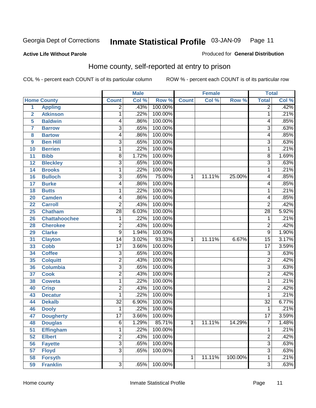#### **Active Life Without Parole**

#### Produced for **General Distribution**

#### Home county, self-reported at entry to prison

|                |                      |                         | <b>Male</b> |         |              | <b>Female</b> |         | <b>Total</b>    |       |
|----------------|----------------------|-------------------------|-------------|---------|--------------|---------------|---------|-----------------|-------|
|                | <b>Home County</b>   | <b>Count</b>            | Col %       | Row %   | <b>Count</b> | Col %         | Row %   | <b>Total</b>    | Col % |
| $\overline{1}$ | <b>Appling</b>       | $\overline{2}$          | .43%        | 100.00% |              |               |         | $\overline{2}$  | .42%  |
| $\overline{2}$ | <b>Atkinson</b>      | 1                       | .22%        | 100.00% |              |               |         | 1               | .21%  |
| 5              | <b>Baldwin</b>       | 4                       | .86%        | 100.00% |              |               |         | 4               | .85%  |
| 7              | <b>Barrow</b>        | $\overline{3}$          | .65%        | 100.00% |              |               |         | 3               | .63%  |
| 8              | <b>Bartow</b>        | 4                       | .86%        | 100.00% |              |               |         | 4               | .85%  |
| 9              | <b>Ben Hill</b>      | $\overline{3}$          | .65%        | 100.00% |              |               |         | $\overline{3}$  | .63%  |
| 10             | <b>Berrien</b>       | 1                       | .22%        | 100.00% |              |               |         | 1               | .21%  |
| 11             | <b>Bibb</b>          | 8                       | 1.72%       | 100.00% |              |               |         | 8               | 1.69% |
| 12             | <b>Bleckley</b>      | $\overline{3}$          | .65%        | 100.00% |              |               |         | $\overline{3}$  | .63%  |
| 14             | <b>Brooks</b>        | 1                       | .22%        | 100.00% |              |               |         | 1               | .21%  |
| 16             | <b>Bulloch</b>       | $\overline{3}$          | .65%        | 75.00%  | 1            | 11.11%        | 25.00%  | 4               | .85%  |
| 17             | <b>Burke</b>         | 4                       | .86%        | 100.00% |              |               |         | 4               | .85%  |
| 18             | <b>Butts</b>         | 1                       | .22%        | 100.00% |              |               |         | 1               | .21%  |
| 20             | <b>Camden</b>        | 4                       | .86%        | 100.00% |              |               |         | 4               | .85%  |
| 22             | <b>Carroll</b>       | $\overline{2}$          | .43%        | 100.00% |              |               |         | $\overline{2}$  | .42%  |
| 25             | <b>Chatham</b>       | $\overline{28}$         | 6.03%       | 100.00% |              |               |         | $\overline{28}$ | 5.92% |
| 26             | <b>Chattahoochee</b> | 1                       | .22%        | 100.00% |              |               |         | 1               | .21%  |
| 28             | <b>Cherokee</b>      | $\overline{\mathbf{c}}$ | .43%        | 100.00% |              |               |         | $\overline{2}$  | .42%  |
| 29             | <b>Clarke</b>        | $\overline{9}$          | 1.94%       | 100.00% |              |               |         | $\overline{9}$  | 1.90% |
| 31             | <b>Clayton</b>       | 14                      | 3.02%       | 93.33%  | 1            | 11.11%        | 6.67%   | $\overline{15}$ | 3.17% |
| 33             | <b>Cobb</b>          | $\overline{17}$         | 3.66%       | 100.00% |              |               |         | $\overline{17}$ | 3.59% |
| 34             | <b>Coffee</b>        | $\overline{3}$          | .65%        | 100.00% |              |               |         | 3               | .63%  |
| 35             | <b>Colquitt</b>      | $\overline{2}$          | .43%        | 100.00% |              |               |         | $\overline{2}$  | .42%  |
| 36             | <b>Columbia</b>      | $\overline{3}$          | .65%        | 100.00% |              |               |         | $\overline{3}$  | .63%  |
| 37             | <b>Cook</b>          | $\overline{2}$          | .43%        | 100.00% |              |               |         | $\overline{2}$  | .42%  |
| 38             | <b>Coweta</b>        | 1                       | .22%        | 100.00% |              |               |         | 1               | .21%  |
| 40             | <b>Crisp</b>         | $\overline{2}$          | .43%        | 100.00% |              |               |         | $\overline{2}$  | .42%  |
| 43             | <b>Decatur</b>       | 1                       | .22%        | 100.00% |              |               |         | 1               | .21%  |
| 44             | <b>Dekalb</b>        | $\overline{32}$         | 6.90%       | 100.00% |              |               |         | $\overline{32}$ | 6.77% |
| 46             | <b>Dooly</b>         | 1                       | .22%        | 100.00% |              |               |         | 1               | .21%  |
| 47             | <b>Dougherty</b>     | $\overline{17}$         | 3.66%       | 100.00% |              |               |         | $\overline{17}$ | 3.59% |
| 48             | <b>Douglas</b>       | 6                       | 1.29%       | 85.71%  | 1            | 11.11%        | 14.29%  | 7               | 1.48% |
| 51             | <b>Effingham</b>     | 1                       | .22%        | 100.00% |              |               |         | 1               | .21%  |
| 52             | <b>Elbert</b>        | $\overline{2}$          | .43%        | 100.00% |              |               |         | $\overline{2}$  | .42%  |
| 56             | <b>Fayette</b>       | $\overline{3}$          | .65%        | 100.00% |              |               |         | $\overline{3}$  | .63%  |
| 57             | <b>Floyd</b>         | $\overline{3}$          | .65%        | 100.00% |              |               |         | $\overline{3}$  | .63%  |
| 58             | <b>Forsyth</b>       |                         |             |         | 1            | 11.11%        | 100.00% | 1               | .21%  |
| 59             | <b>Franklin</b>      | $\overline{3}$          | .65%        | 100.00% |              |               |         | $\overline{3}$  | .63%  |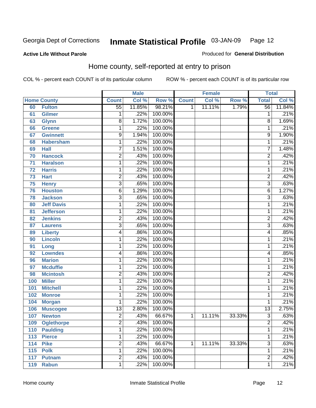#### **Active Life Without Parole**

#### Produced for **General Distribution**

#### Home county, self-reported at entry to prison

|     |                    |                 | <b>Male</b> |         |              | <b>Female</b> |        | <b>Total</b>    |        |
|-----|--------------------|-----------------|-------------|---------|--------------|---------------|--------|-----------------|--------|
|     | <b>Home County</b> | <b>Count</b>    | Col %       | Row %   | <b>Count</b> | Col %         | Row %  | <b>Total</b>    | Col %  |
| 60  | <b>Fulton</b>      | $\overline{55}$ | 11.85%      | 98.21%  | 1            | 11.11%        | 1.79%  | $\overline{56}$ | 11.84% |
| 61  | <b>Gilmer</b>      | 1               | .22%        | 100.00% |              |               |        | 1               | .21%   |
| 63  | <b>Glynn</b>       | $\overline{8}$  | 1.72%       | 100.00% |              |               |        | 8               | 1.69%  |
| 66  | <b>Greene</b>      | 1               | .22%        | 100.00% |              |               |        | 1               | .21%   |
| 67  | <b>Gwinnett</b>    | $\overline{9}$  | 1.94%       | 100.00% |              |               |        | 9               | 1.90%  |
| 68  | <b>Habersham</b>   | 1               | .22%        | 100.00% |              |               |        | 1               | .21%   |
| 69  | <b>Hall</b>        | 7               | 1.51%       | 100.00% |              |               |        | 7               | 1.48%  |
| 70  | <b>Hancock</b>     | $\overline{2}$  | .43%        | 100.00% |              |               |        | $\overline{2}$  | .42%   |
| 71  | <b>Haralson</b>    | 1               | .22%        | 100.00% |              |               |        | 1               | .21%   |
| 72  | <b>Harris</b>      | 1               | .22%        | 100.00% |              |               |        | 1               | .21%   |
| 73  | <b>Hart</b>        | 2               | .43%        | 100.00% |              |               |        | $\overline{2}$  | .42%   |
| 75  | <b>Henry</b>       | $\overline{3}$  | .65%        | 100.00% |              |               |        | $\overline{3}$  | .63%   |
| 76  | <b>Houston</b>     | 6               | 1.29%       | 100.00% |              |               |        | 6               | 1.27%  |
| 78  | <b>Jackson</b>     | $\overline{3}$  | .65%        | 100.00% |              |               |        | $\overline{3}$  | .63%   |
| 80  | <b>Jeff Davis</b>  | 1               | .22%        | 100.00% |              |               |        | 1               | .21%   |
| 81  | <b>Jefferson</b>   | 1               | .22%        | 100.00% |              |               |        | 1               | .21%   |
| 82  | <b>Jenkins</b>     | $\overline{2}$  | .43%        | 100.00% |              |               |        | 2               | .42%   |
| 87  | <b>Laurens</b>     | $\overline{3}$  | .65%        | 100.00% |              |               |        | $\overline{3}$  | .63%   |
| 89  | <b>Liberty</b>     | 4               | .86%        | 100.00% |              |               |        | 4               | .85%   |
| 90  | <b>Lincoln</b>     | 1               | .22%        | 100.00% |              |               |        | 1               | .21%   |
| 91  | Long               | $\mathbf{1}$    | .22%        | 100.00% |              |               |        | 1               | .21%   |
| 92  | <b>Lowndes</b>     | 4               | .86%        | 100.00% |              |               |        | 4               | .85%   |
| 96  | <b>Marion</b>      | 1               | .22%        | 100.00% |              |               |        | 1               | .21%   |
| 97  | <b>Mcduffie</b>    | 1               | .22%        | 100.00% |              |               |        | 1               | .21%   |
| 98  | <b>Mcintosh</b>    | $\overline{2}$  | .43%        | 100.00% |              |               |        | 2               | .42%   |
| 100 | <b>Miller</b>      | 1               | .22%        | 100.00% |              |               |        | 1               | .21%   |
| 101 | <b>Mitchell</b>    | 1               | .22%        | 100.00% |              |               |        | 1               | .21%   |
| 102 | <b>Monroe</b>      | 1               | .22%        | 100.00% |              |               |        | 1               | .21%   |
| 104 | <b>Morgan</b>      | 1               | .22%        | 100.00% |              |               |        | 1               | .21%   |
| 106 | <b>Muscogee</b>    | $\overline{13}$ | 2.80%       | 100.00% |              |               |        | $\overline{13}$ | 2.75%  |
| 107 | <b>Newton</b>      | $\overline{2}$  | .43%        | 66.67%  | $\mathbf{1}$ | 11.11%        | 33.33% | $\overline{3}$  | .63%   |
| 109 | <b>Oglethorpe</b>  | 2               | .43%        | 100.00% |              |               |        | $\overline{c}$  | .42%   |
| 110 | <b>Paulding</b>    | $\mathbf{1}$    | .22%        | 100.00% |              |               |        | 1               | .21%   |
| 113 | <b>Pierce</b>      | 1               | .22%        | 100.00% |              |               |        | 1               | .21%   |
| 114 | <b>Pike</b>        | $\overline{2}$  | .43%        | 66.67%  | 1            | 11.11%        | 33.33% | $\overline{3}$  | .63%   |
| 115 | <b>Polk</b>        | 1               | .22%        | 100.00% |              |               |        | 1               | .21%   |
| 117 | <b>Putnam</b>      | $\overline{2}$  | .43%        | 100.00% |              |               |        | $\overline{2}$  | .42%   |
| 119 | <b>Rabun</b>       | 1               | .22%        | 100.00% |              |               |        | 1               | .21%   |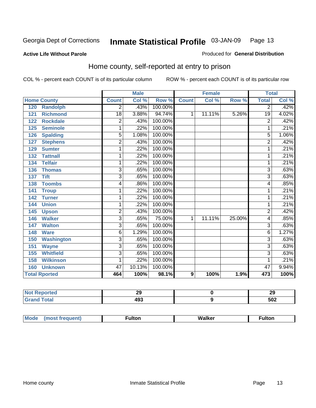#### **Active Life Without Parole**

#### Produced for **General Distribution**

#### Home county, self-reported at entry to prison

|                          |                 | <b>Male</b>               |         |              | <b>Female</b> |        | <b>Total</b>    |       |
|--------------------------|-----------------|---------------------------|---------|--------------|---------------|--------|-----------------|-------|
| <b>Home County</b>       | <b>Count</b>    | $\overline{\text{Col}}$ % | Row %   | <b>Count</b> | Col %         | Row %  | <b>Total</b>    | Col % |
| 120<br><b>Randolph</b>   | 2               | .43%                      | 100.00% |              |               |        | $\overline{2}$  | .42%  |
| <b>Richmond</b><br>121   | $\overline{18}$ | 3.88%                     | 94.74%  | 1            | 11.11%        | 5.26%  | $\overline{19}$ | 4.02% |
| <b>Rockdale</b><br>122   | $\overline{2}$  | .43%                      | 100.00% |              |               |        | $\overline{2}$  | .42%  |
| <b>Seminole</b><br>125   | 1               | .22%                      | 100.00% |              |               |        |                 | .21%  |
| <b>Spalding</b><br>126   | $\overline{5}$  | 1.08%                     | 100.00% |              |               |        | $\overline{5}$  | 1.06% |
| 127<br><b>Stephens</b>   | 2               | .43%                      | 100.00% |              |               |        | $\overline{c}$  | .42%  |
| <b>Sumter</b><br>129     | 1               | .22%                      | 100.00% |              |               |        | 1               | .21%  |
| <b>Tattnall</b><br>132   | 1               | .22%                      | 100.00% |              |               |        | 1               | .21%  |
| <b>Telfair</b><br>134    | 1               | .22%                      | 100.00% |              |               |        | 1               | .21%  |
| <b>Thomas</b><br>136     | 3               | .65%                      | 100.00% |              |               |        | 3               | .63%  |
| <b>Tift</b><br>137       | $\overline{3}$  | .65%                      | 100.00% |              |               |        | 3               | .63%  |
| <b>Toombs</b><br>138     | 4               | .86%                      | 100.00% |              |               |        | 4               | .85%  |
| <b>Troup</b><br>141      | 1               | .22%                      | 100.00% |              |               |        | 1               | .21%  |
| <b>Turner</b><br>142     | 1               | .22%                      | 100.00% |              |               |        | 1               | .21%  |
| <b>Union</b><br>144      | 1               | .22%                      | 100.00% |              |               |        | $\mathbf{1}$    | .21%  |
| 145<br><b>Upson</b>      | $\overline{2}$  | .43%                      | 100.00% |              |               |        | $\overline{2}$  | .42%  |
| <b>Walker</b><br>146     | $\overline{3}$  | .65%                      | 75.00%  | 1            | 11.11%        | 25.00% | 4               | .85%  |
| <b>Walton</b><br>147     | $\overline{3}$  | .65%                      | 100.00% |              |               |        | $\overline{3}$  | .63%  |
| 148<br><b>Ware</b>       | 6               | 1.29%                     | 100.00% |              |               |        | 6               | 1.27% |
| <b>Washington</b><br>150 | $\overline{3}$  | .65%                      | 100.00% |              |               |        | 3               | .63%  |
| <b>Wayne</b><br>151      | $\overline{3}$  | .65%                      | 100.00% |              |               |        | 3               | .63%  |
| <b>Whitfield</b><br>155  | $\overline{3}$  | .65%                      | 100.00% |              |               |        | 3               | .63%  |
| <b>Wilkinson</b><br>158  | 1               | .22%                      | 100.00% |              |               |        | 1               | .21%  |
| <b>Unknown</b><br>160    | 47              | 10.13%                    | 100.00% |              |               |        | 47              | 9.94% |
| <b>Total Rported</b>     | 464             | 100%                      | 98.1%   | 9            | 100%          | 1.9%   | 473             | 100%  |

| oorted<br>N | --<br>- 3<br>__ | ኅ<br>23 |
|-------------|-----------------|---------|
| <b>otal</b> | ៱៱៹<br>499      | 502     |

| Mode | (most frequent) | <b>ulton</b> | Walker | ·ulton |
|------|-----------------|--------------|--------|--------|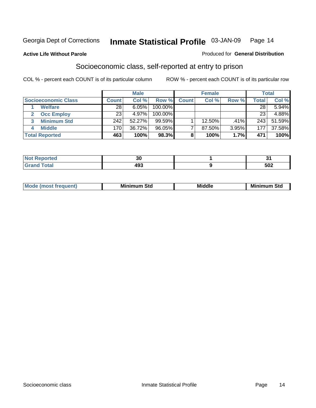#### **Active Life Without Parole**

#### Produced for **General Distribution**

#### Socioeconomic class, self-reported at entry to prison

|                            |              | <b>Male</b> |            |              | <b>Female</b> |       |              | <b>Total</b> |
|----------------------------|--------------|-------------|------------|--------------|---------------|-------|--------------|--------------|
| <b>Socioeconomic Class</b> | <b>Count</b> | Col %       | Row %      | <b>Count</b> | Col %         | Row % | <b>Total</b> | Col %        |
| <b>Welfare</b>             | 28           | 6.05%       | 100.00%    |              |               |       | 28           | 5.94%        |
| <b>Occ Employ</b>          | 23           | 4.97%       | $100.00\%$ |              |               |       | 23           | 4.88%        |
| <b>Minimum Std</b>         | 242          | 52.27%      | 99.59%     |              | 12.50%        | .41%  | 243          | 51.59%       |
| <b>Middle</b>              | 170          | 36.72%      | 96.05%     |              | 87.50%        | 3.95% | 177          | 37.58%       |
| <b>Total Reported</b>      | 463          | 100%        | 98.3%      |              | 100%          | 1.7%  | 471          | 100%         |

| للمراجع باللودان<br>iteto.       | 30  |                    |
|----------------------------------|-----|--------------------|
| $T0+0'$<br><b>Oldi</b><br>------ | 493 | $E^{\wedge}$<br>שכ |

| .<br>___ |
|----------|
|----------|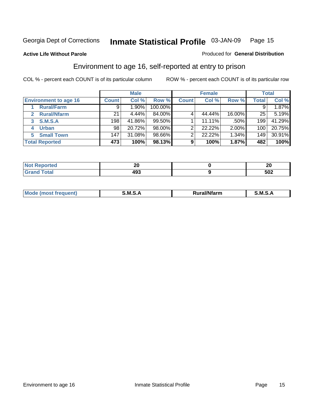#### **Active Life Without Parole**

#### Produced for **General Distribution**

#### Environment to age 16, self-reported at entry to prison

|                              |                  | <b>Male</b> |         |              | <b>Female</b> |        |              | <b>Total</b> |
|------------------------------|------------------|-------------|---------|--------------|---------------|--------|--------------|--------------|
| <b>Environment to age 16</b> | <b>Count</b>     | Col %       | Row %   | <b>Count</b> | Col %         | Row %  | <b>Total</b> | Col %        |
| <b>Rural/Farm</b>            | 9                | l.90%       | 100.00% |              |               |        |              | 1.87%        |
| <b>Rural/Nfarm</b><br>2      | 21               | 4.44%       | 84.00%  |              | 44.44%        | 16.00% | 25           | 5.19%        |
| S.M.S.A<br>3                 | 198              | 41.86%      | 99.50%  |              | 11.11%        | .50%   | 199          | 41.29%       |
| <b>Urban</b>                 | 98 <sub>1</sub>  | 20.72%      | 98.00%  |              | 22.22%        | 2.00%  | 100          | 20.75%       |
| <b>Small Town</b><br>5.      | 147 <sub>1</sub> | 31.08%      | 98.66%  |              | 22.22%        | 1.34%  | 149          | 30.91%       |
| <b>Total Reported</b>        | 473              | 100%        | 98.13%  | 9            | 100%          | 1.87%  | 482          | 100%         |

| <b>No</b><br>Reported | M<br>ZV. | ZV  |
|-----------------------|----------|-----|
| <b>Total</b><br>CHOK  | 493      | 502 |

| Mo<br>זחנ | M<br>.<br>_____ | $1.3.14 \times 10^{18}$<br>. Ifara<br>arm | -<br>M<br>______ |
|-----------|-----------------|-------------------------------------------|------------------|
|           |                 |                                           |                  |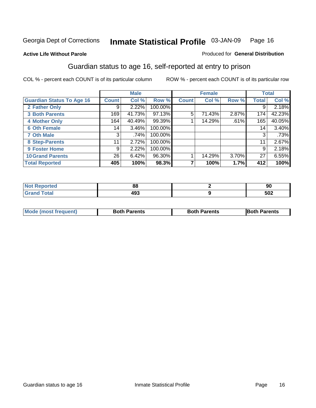#### **Active Life Without Parole**

#### Produced for **General Distribution**

#### Guardian status to age 16, self-reported at entry to prison

|                                  |              | <b>Male</b> |           |              | <b>Female</b> |       |              | <b>Total</b> |
|----------------------------------|--------------|-------------|-----------|--------------|---------------|-------|--------------|--------------|
| <b>Guardian Status To Age 16</b> | <b>Count</b> | Col %       | Row %     | <b>Count</b> | Col %         | Row % | <b>Total</b> | Col %        |
| 2 Father Only                    | 9            | 2.22%       | 100.00%   |              |               |       | 9            | 2.18%        |
| <b>3 Both Parents</b>            | 169          | 41.73%      | $97.13\%$ | 5            | 71.43%        | 2.87% | 174          | 42.23%       |
| <b>4 Mother Only</b>             | 164          | 40.49%      | 99.39%    |              | 14.29%        | .61%  | 165          | 40.05%       |
| <b>6 Oth Female</b>              | 14           | 3.46%       | 100.00%   |              |               |       | 14           | $3.40\%$     |
| <b>7 Oth Male</b>                | 3            | .74%        | 100.00%   |              |               |       | 3            | .73%         |
| 8 Step-Parents                   | 11           | 2.72%       | 100.00%   |              |               |       | 11           | 2.67%        |
| 9 Foster Home                    | 9            | 2.22%       | 100.00%   |              |               |       | 9            | 2.18%        |
| <b>10 Grand Parents</b>          | 26           | 6.42%       | 96.30%    |              | 14.29%        | 3.70% | 27           | 6.55%        |
| <b>Total Reported</b>            | 405          | 100%        | 98.3%     |              | 100%          | 1.7%  | 412          | 100%         |

|        | 88      | 90  |
|--------|---------|-----|
| ______ | .<br>__ | 502 |

| Mode (most frequent) | <b>Both Parents</b> | <b>Both Parents</b> | <b>IBoth Parents</b> |
|----------------------|---------------------|---------------------|----------------------|
|                      |                     |                     |                      |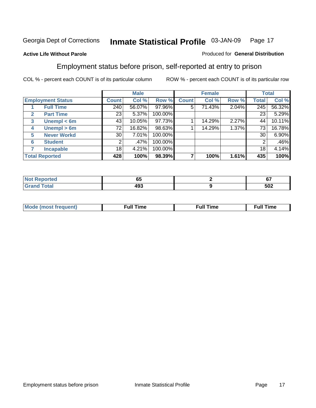#### **Active Life Without Parole**

#### Produced for **General Distribution**

#### Employment status before prison, self-reported at entry to prison

|              |                          |              | <b>Male</b> |         |              | <b>Female</b> |       |              | <b>Total</b> |
|--------------|--------------------------|--------------|-------------|---------|--------------|---------------|-------|--------------|--------------|
|              | <b>Employment Status</b> | <b>Count</b> | Col %       | Row %   | <b>Count</b> | Col %         | Row % | <b>Total</b> | Col %        |
|              | <b>Full Time</b>         | 240          | 56.07%      | 97.96%  | 5            | 71.43%        | 2.04% | 245          | 56.32%       |
| $\mathbf{2}$ | <b>Part Time</b>         | 23           | 5.37%       | 100.00% |              |               |       | 23           | 5.29%        |
| $\mathbf{3}$ | Unempl $<$ 6m            | 43           | 10.05%      | 97.73%  |              | 14.29%        | 2.27% | 44           | 10.11%       |
| 4            | Unempl $> 6m$            | 72           | 16.82%      | 98.63%  |              | 14.29%        | 1.37% | 73           | 16.78%       |
| 5            | <b>Never Workd</b>       | 30           | 7.01%       | 100.00% |              |               |       | 30           | 6.90%        |
| 6            | <b>Student</b>           | 2            | .47%        | 100.00% |              |               |       | 2            | .46%         |
|              | <b>Incapable</b>         | 18           | 4.21%       | 100.00% |              |               |       | 18           | 4.14%        |
|              | <b>Total Reported</b>    | 428          | 100%        | 98.39%  |              | 100%          | 1.61% | 435          | 100%         |

| тес.                    | - -<br>uu          | $\sim$<br>v. |
|-------------------------|--------------------|--------------|
| <b>Coto</b> "<br>______ | ៱៱៰<br>493<br>$ -$ | 502          |

| Mo | 'me<br>uн<br>$\sim$ $\sim$ $\sim$ $\sim$ $\sim$ $\sim$ | ïme<br>uı.<br>the contract of the contract of the contract of the contract of the contract of the contract of the contract of |
|----|--------------------------------------------------------|-------------------------------------------------------------------------------------------------------------------------------|
|    |                                                        |                                                                                                                               |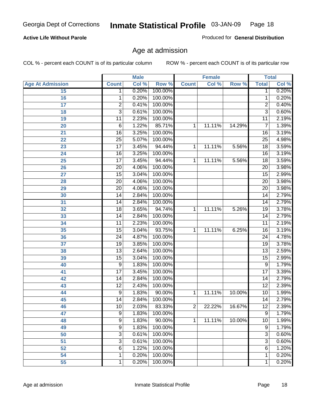#### **Active Life Without Parole**

Produced for **General Distribution**

#### Age at admission

|                         |                 | <b>Male</b> |         | <b>Female</b> |        | <b>Total</b> |                 |       |
|-------------------------|-----------------|-------------|---------|---------------|--------|--------------|-----------------|-------|
| <b>Age At Admission</b> | <b>Count</b>    | Col %       | Row %   | <b>Count</b>  | Col %  | Row %        | <b>Total</b>    | Col % |
| 15                      | 1               | 0.20%       | 100.00% |               |        |              | 1               | 0.20% |
| 16                      | 1               | 0.20%       | 100.00% |               |        |              | $\overline{1}$  | 0.20% |
| 17                      | $\overline{2}$  | 0.41%       | 100.00% |               |        |              | 2               | 0.40% |
| 18                      | 3               | 0.61%       | 100.00% |               |        |              | $\overline{3}$  | 0.60% |
| 19                      | 11              | 2.23%       | 100.00% |               |        |              | 11              | 2.19% |
| 20                      | 6               | 1.22%       | 85.71%  | 1             | 11.11% | 14.29%       | 7               | 1.39% |
| 21                      | $\overline{16}$ | 3.25%       | 100.00% |               |        |              | $\overline{16}$ | 3.19% |
| 22                      | $\overline{25}$ | 5.07%       | 100.00% |               |        |              | $\overline{25}$ | 4.98% |
| 23                      | $\overline{17}$ | 3.45%       | 94.44%  | 1             | 11.11% | 5.56%        | $\overline{18}$ | 3.59% |
| 24                      | $\overline{16}$ | 3.25%       | 100.00% |               |        |              | 16              | 3.19% |
| 25                      | $\overline{17}$ | 3.45%       | 94.44%  | 1             | 11.11% | 5.56%        | $\overline{18}$ | 3.59% |
| 26                      | $\overline{20}$ | 4.06%       | 100.00% |               |        |              | $\overline{20}$ | 3.98% |
| 27                      | $\overline{15}$ | 3.04%       | 100.00% |               |        |              | $\overline{15}$ | 2.99% |
| 28                      | $\overline{20}$ | 4.06%       | 100.00% |               |        |              | 20              | 3.98% |
| 29                      | $\overline{20}$ | 4.06%       | 100.00% |               |        |              | $\overline{20}$ | 3.98% |
| 30                      | 14              | 2.84%       | 100.00% |               |        |              | 14              | 2.79% |
| 31                      | 14              | 2.84%       | 100.00% |               |        |              | 14              | 2.79% |
| 32                      | $\overline{18}$ | 3.65%       | 94.74%  | 1             | 11.11% | 5.26%        | 19              | 3.78% |
| 33                      | $\overline{14}$ | 2.84%       | 100.00% |               |        |              | $\overline{14}$ | 2.79% |
| 34                      | $\overline{11}$ | 2.23%       | 100.00% |               |        |              | 11              | 2.19% |
| 35                      | $\overline{15}$ | 3.04%       | 93.75%  | 1             | 11.11% | 6.25%        | 16              | 3.19% |
| 36                      | $\overline{24}$ | 4.87%       | 100.00% |               |        |              | 24              | 4.78% |
| 37                      | $\overline{19}$ | 3.85%       | 100.00% |               |        |              | $\overline{19}$ | 3.78% |
| 38                      | 13              | 2.64%       | 100.00% |               |        |              | 13              | 2.59% |
| 39                      | 15              | 3.04%       | 100.00% |               |        |              | 15              | 2.99% |
| 40                      | 9               | 1.83%       | 100.00% |               |        |              | 9               | 1.79% |
| 41                      | $\overline{17}$ | 3.45%       | 100.00% |               |        |              | 17              | 3.39% |
| 42                      | 14              | 2.84%       | 100.00% |               |        |              | 14              | 2.79% |
| 43                      | $\overline{12}$ | 2.43%       | 100.00% |               |        |              | $\overline{12}$ | 2.39% |
| 44                      | 9               | 1.83%       | 90.00%  | 1             | 11.11% | 10.00%       | 10              | 1.99% |
| 45                      | 14              | 2.84%       | 100.00% |               |        |              | 14              | 2.79% |
| 46                      | 10              | 2.03%       | 83.33%  | 2             | 22.22% | 16.67%       | 12              | 2.39% |
| 47                      | 9               | 1.83%       | 100.00% |               |        |              | $\overline{9}$  | 1.79% |
| 48                      | 9               | 1.83%       | 90.00%  | 1             | 11.11% | 10.00%       | 10              | 1.99% |
| 49                      | 9               | 1.83%       | 100.00% |               |        |              | 9               | 1.79% |
| 50                      | 3               | 0.61%       | 100.00% |               |        |              | 3               | 0.60% |
| 51                      | 3               | 0.61%       | 100.00% |               |        |              | 3               | 0.60% |
| 52                      | 6               | 1.22%       | 100.00% |               |        |              | 6               | 1.20% |
| 54                      | 1               | 0.20%       | 100.00% |               |        |              | 1               | 0.20% |
| 55                      | 1               | 0.20%       | 100.00% |               |        |              | 1               | 0.20% |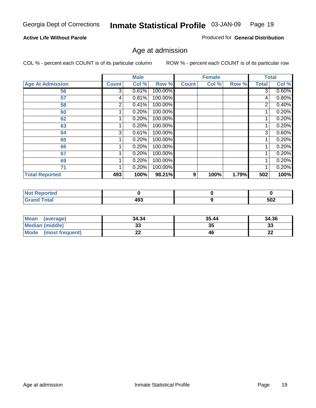#### **Active Life Without Parole**

Produced for **General Distribution**

#### Age at admission

|                         |              | <b>Male</b> |         |              | <b>Female</b> |       |              | <b>Total</b> |
|-------------------------|--------------|-------------|---------|--------------|---------------|-------|--------------|--------------|
| <b>Age At Admission</b> | <b>Count</b> | Col %       | Row %   | <b>Count</b> | Col %         | Row % | <b>Total</b> | Col %        |
| 56                      | 3            | 0.61%       | 100.00% |              |               |       | 3            | 0.60%        |
| 57                      | 4            | 0.81%       | 100.00% |              |               |       | 4            | 0.80%        |
| 58                      | 2            | 0.41%       | 100.00% |              |               |       | 2            | 0.40%        |
| 60                      |              | 0.20%       | 100.00% |              |               |       |              | 0.20%        |
| 62                      |              | 0.20%       | 100.00% |              |               |       |              | 0.20%        |
| 63                      |              | 0.20%       | 100.00% |              |               |       |              | 0.20%        |
| 64                      | 3            | 0.61%       | 100.00% |              |               |       | 3            | 0.60%        |
| 65                      |              | 0.20%       | 100.00% |              |               |       |              | 0.20%        |
| 66                      |              | 0.20%       | 100.00% |              |               |       |              | 0.20%        |
| 67                      |              | 0.20%       | 100.00% |              |               |       |              | 0.20%        |
| 69                      |              | 0.20%       | 100.00% |              |               |       |              | 0.20%        |
| 71                      |              | 0.20%       | 100.00% |              |               |       |              | 0.20%        |
| <b>Total Reported</b>   | 493          | 100%        | 98.21%  | 9            | 100%          | 1.79% | 502          | 100%         |

| <b>rted</b>    |            |     |
|----------------|------------|-----|
| `otal<br>_____ | 493<br>___ | 502 |

| <b>Mean</b><br>(average)       | 34.34 | 35.44 | 34.36    |
|--------------------------------|-------|-------|----------|
| <b>Median (middle)</b>         |       | 35    | າາ<br>ند |
| <b>Mode</b><br>(most frequent) | --    | 46    | n,<br>LL |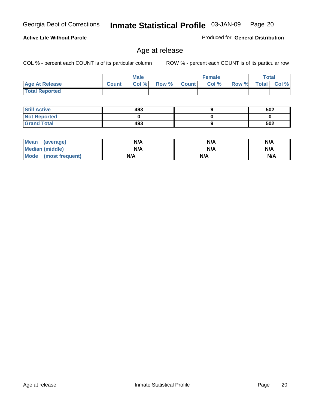|                       |              | <b>Male</b> |       |              | <b>Female</b> |       |              | Total |
|-----------------------|--------------|-------------|-------|--------------|---------------|-------|--------------|-------|
| <b>Age At Release</b> | <b>Count</b> | Col%        | Row % | <b>Count</b> | Col %         | Row % | <b>Total</b> | Col % |
| <b>Total Reported</b> |              |             |       |              |               |       |              |       |

| <b>Still Active</b> | 493 | 502 |
|---------------------|-----|-----|
| <b>Not Reported</b> |     |     |
| <b>Grand Total</b>  | 493 | 502 |

| <b>Mean</b><br>(average) | N/A | N/A | N/A |
|--------------------------|-----|-----|-----|
| <b>Median (middle)</b>   | N/A | N/A | N/A |
| Mode (most frequent)     | N/A | N/A | N/A |

#### **Active Life Without Parole**

Produced for **General Distribution**

## Age at release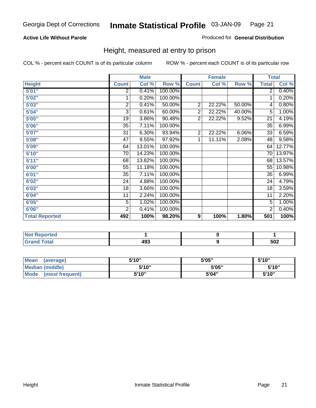#### **Active Life Without Parole**

#### Produced for **General Distribution**

#### Height, measured at entry to prison

|                       |                 | <b>Male</b> |         |                | <b>Female</b> |        | <b>Total</b>    |        |
|-----------------------|-----------------|-------------|---------|----------------|---------------|--------|-----------------|--------|
| <b>Height</b>         | <b>Count</b>    | Col %       | Row %   | <b>Count</b>   | Col %         | Row %  | <b>Total</b>    | Col %  |
| 5'01''                | 2               | 0.41%       | 100.00% |                |               |        | $\overline{2}$  | 0.40%  |
| 5'02"                 | 1               | 0.20%       | 100.00% |                |               |        | 1               | 0.20%  |
| 5'03"                 | 2               | 0.41%       | 50.00%  | $\overline{c}$ | 22.22%        | 50.00% | 4               | 0.80%  |
| 5'04"                 | 3               | 0.61%       | 60.00%  | $\overline{2}$ | 22.22%        | 40.00% | 5               | 1.00%  |
| 5'05"                 | 19              | 3.86%       | 90.48%  | $\overline{2}$ | 22.22%        | 9.52%  | 21              | 4.19%  |
| 5'06"                 | 35              | 7.11%       | 100.00% |                |               |        | $\overline{35}$ | 6.99%  |
| 5'07''                | 31              | 6.30%       | 93.94%  | $\overline{2}$ | 22.22%        | 6.06%  | 33              | 6.59%  |
| 5'08"                 | $\overline{47}$ | 9.55%       | 97.92%  | 1              | 11.11%        | 2.08%  | 48              | 9.58%  |
| 5'09"                 | 64              | 13.01%      | 100.00% |                |               |        | 64              | 12.77% |
| 5'10''                | 70              | 14.23%      | 100.00% |                |               |        | 70              | 13.97% |
| 5'11''                | 68              | 13.82%      | 100.00% |                |               |        | 68              | 13.57% |
| 6'00"                 | 55              | 11.18%      | 100.00% |                |               |        | 55              | 10.98% |
| 6'01''                | 35              | 7.11%       | 100.00% |                |               |        | 35              | 6.99%  |
| 6'02''                | 24              | 4.88%       | 100.00% |                |               |        | 24              | 4.79%  |
| 6'03"                 | 18              | 3.66%       | 100.00% |                |               |        | 18              | 3.59%  |
| 6'04"                 | 11              | 2.24%       | 100.00% |                |               |        | 11              | 2.20%  |
| 6'05"                 | $\overline{5}$  | 1.02%       | 100.00% |                |               |        | 5               | 1.00%  |
| 6'06"                 | $\overline{2}$  | 0.41%       | 100.00% |                |               |        | $\overline{2}$  | 0.40%  |
| <b>Total Reported</b> | 492             | 100%        | 98.20%  | 9              | 100%          | 1.80%  | 501             | 100%   |

| ported<br>TV 6                |     |     |
|-------------------------------|-----|-----|
| $\sim$ $\sim$ $\sim$<br>_____ | 493 | 502 |

| <b>Mean</b><br>(average)       | 5'10" | 5'05" | 5'10" |
|--------------------------------|-------|-------|-------|
| Median (middle)                | 5'10" | 5'05" | 5'10" |
| <b>Mode</b><br>(most frequent) | 5'10" | 5'04" | 5'10" |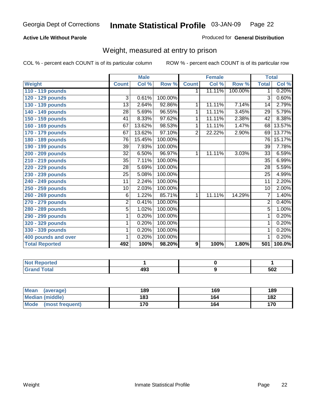#### **Active Life Without Parole**

#### Produced for **General Distribution**

#### Weight, measured at entry to prison

|                       |                 | <b>Male</b> |         |                | <b>Female</b> |         | <b>Total</b>    |        |
|-----------------------|-----------------|-------------|---------|----------------|---------------|---------|-----------------|--------|
| <b>Weight</b>         | <b>Count</b>    | Col %       | Row %   | <b>Count</b>   | Col %         | Row %   | <b>Total</b>    | Col %  |
| 110 - 119 pounds      |                 |             |         | 1.             | 11.11%        | 100.00% | 1               | 0.20%  |
| 120 - 129 pounds      | 3               | 0.61%       | 100.00% |                |               |         | 3               | 0.60%  |
| 130 - 139 pounds      | 13              | 2.64%       | 92.86%  | 1              | 11.11%        | 7.14%   | 14              | 2.79%  |
| 140 - 149 pounds      | 28              | 5.69%       | 96.55%  | 1              | 11.11%        | 3.45%   | $\overline{29}$ | 5.79%  |
| 150 - 159 pounds      | 41              | 8.33%       | 97.62%  | 1              | 11.11%        | 2.38%   | $\overline{42}$ | 8.38%  |
| 160 - 169 pounds      | 67              | 13.62%      | 98.53%  | 1              | 11.11%        | 1.47%   | 68              | 13.57% |
| 170 - 179 pounds      | 67              | 13.62%      | 97.10%  | $\overline{2}$ | 22.22%        | 2.90%   | 69              | 13.77% |
| 180 - 189 pounds      | 76              | 15.45%      | 100.00% |                |               |         | 76              | 15.17% |
| 190 - 199 pounds      | 39              | 7.93%       | 100.00% |                |               |         | 39              | 7.78%  |
| 200 - 209 pounds      | 32              | 6.50%       | 96.97%  | 1              | 11.11%        | 3.03%   | 33              | 6.59%  |
| 210 - 219 pounds      | $\overline{35}$ | 7.11%       | 100.00% |                |               |         | 35              | 6.99%  |
| 220 - 229 pounds      | 28              | 5.69%       | 100.00% |                |               |         | 28              | 5.59%  |
| 230 - 239 pounds      | 25              | 5.08%       | 100.00% |                |               |         | 25              | 4.99%  |
| 240 - 249 pounds      | 11              | 2.24%       | 100.00% |                |               |         | 11              | 2.20%  |
| 250 - 259 pounds      | 10              | 2.03%       | 100.00% |                |               |         | 10              | 2.00%  |
| 260 - 269 pounds      | 6               | 1.22%       | 85.71%  | 1              | 11.11%        | 14.29%  | 7               | 1.40%  |
| 270 - 279 pounds      | $\overline{2}$  | 0.41%       | 100.00% |                |               |         | $\overline{2}$  | 0.40%  |
| 280 - 289 pounds      | $\overline{5}$  | 1.02%       | 100.00% |                |               |         | $\overline{5}$  | 1.00%  |
| 290 - 299 pounds      | 1               | 0.20%       | 100.00% |                |               |         | 1               | 0.20%  |
| 320 - 329 pounds      | 1               | 0.20%       | 100.00% |                |               |         | 1               | 0.20%  |
| 330 - 339 pounds      | 1               | 0.20%       | 100.00% |                |               |         | 1               | 0.20%  |
| 400 pounds and over   | 1               | 0.20%       | 100.00% |                |               |         | $\overline{1}$  | 0.20%  |
| <b>Total Reported</b> | 492             | 100%        | 98.20%  | 9              | 100%          | 1.80%   | 501             | 100.0% |

| Reported<br><b>NOT</b> |     |     |
|------------------------|-----|-----|
| <b>cotal</b>           | 493 | 502 |

| <b>Mean</b><br>(average)       | 189 | 169 | 189 |
|--------------------------------|-----|-----|-----|
| Median (middle)                | 183 | 164 | 182 |
| <b>Mode</b><br>(most frequent) | 170 | 164 | 170 |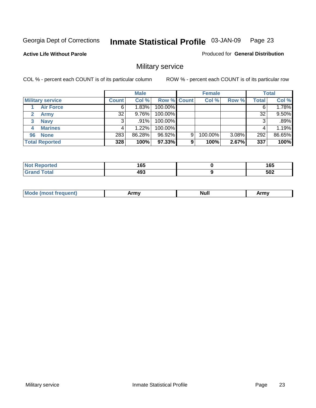**Active Life Without Parole** 

Produced for **General Distribution**

## Military service

|                         |              | <b>Male</b> |             |   | <b>Female</b> |       |              | <b>Total</b> |
|-------------------------|--------------|-------------|-------------|---|---------------|-------|--------------|--------------|
| <b>Military service</b> | <b>Count</b> | Col %       | Row % Count |   | Col %         | Row % | <b>Total</b> | Col %        |
| <b>Air Force</b>        | 6            | 1.83%       | 100.00%     |   |               |       | 6            | 1.78%        |
| <b>Army</b>             | 32           | $9.76\%$    | 100.00%     |   |               |       | 32           | 9.50%        |
| <b>Navy</b><br>3        |              | $.91\%$     | 100.00%     |   |               |       | 3            | .89%         |
| <b>Marines</b><br>4     |              | 1.22%       | 100.00%     |   |               |       |              | 1.19%        |
| 96 None                 | 283          | 86.28%      | 96.92%      | 9 | 100.00%       | 3.08% | 292          | 86.65%       |
| <b>Total Reported</b>   | 328          | 100%        | 97.33%      | 9 | 100%          | 2.67% | 337          | 100%         |

| <b>\rted</b> | 1 C C<br>⊍ט<br>__ | 165<br>- - |
|--------------|-------------------|------------|
| Coto!        | 102<br>193        | 502        |

| M<br><b>IVUII</b><br>.<br>. |
|-----------------------------|
|-----------------------------|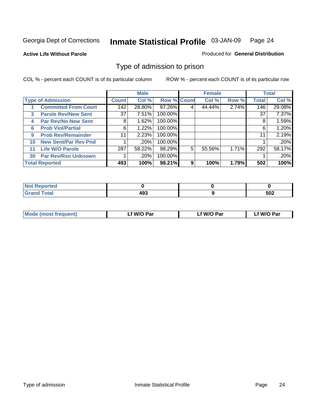#### **Active Life Without Parole**

#### Produced for **General Distribution**

#### Type of admission to prison

|    |                             |              | <b>Male</b> |                    |   | <b>Female</b> |       |              | <b>Total</b> |
|----|-----------------------------|--------------|-------------|--------------------|---|---------------|-------|--------------|--------------|
|    | <b>Type of Admission</b>    | <b>Count</b> | Col %       | <b>Row % Count</b> |   | Col %         | Row % | <b>Total</b> | Col %        |
|    | <b>Committed From Court</b> | 142          | 28.80%      | 97.26%             | 4 | 44.44%        | 2.74% | 146          | 29.08%       |
| 3  | <b>Parole Rev/New Sent</b>  | 37           | 7.51%       | 100.00%            |   |               |       | 37           | 7.37%        |
| 4  | <b>Par Rev/No New Sent</b>  | 8            | 1.62%       | 100.00%            |   |               |       | 8            | 1.59%        |
| 6  | <b>Prob Viol/Partial</b>    | 6            | 1.22%       | 100.00%            |   |               |       | 6            | 1.20%        |
| 9  | <b>Prob Rev/Remainder</b>   | 11           | 2.23%       | 100.00%            |   |               |       | 11           | 2.19%        |
| 10 | <b>New Sent/Par Rev Pnd</b> |              | .20%        | 100.00%            |   |               |       |              | .20%         |
| 11 | <b>Life W/O Parole</b>      | 287          | 58.22%      | 98.29%             | 5 | 55.56%        | 1.71% | 292          | 58.17%       |
| 30 | <b>Par Rev/Rsn Unknown</b>  |              | .20%        | 100.00%            |   |               |       |              | .20%         |
|    | <b>Total Reported</b>       | 493          | 100%        | 98.21%             | 9 | 100%          | 1.79% | 502          | 100%         |

| Reported<br>NOT               |     |     |
|-------------------------------|-----|-----|
| <b>Total</b><br>Grs<br>$\sim$ | י ה | 502 |

| Mode (most frequent) | Lf W/O Par | Lf W/O Par | f W/O Par |
|----------------------|------------|------------|-----------|
|                      |            |            |           |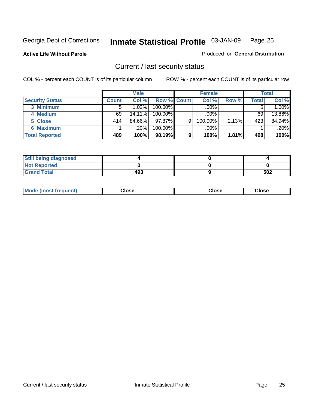**Active Life Without Parole** 

Produced for **General Distribution**

#### Current / last security status

|                        |         | <b>Male</b> |                    |   | <b>Female</b> |       |       | <b>Total</b> |
|------------------------|---------|-------------|--------------------|---|---------------|-------|-------|--------------|
| <b>Security Status</b> | Count l | Col %       | <b>Row % Count</b> |   | Col %         | Row % | Total | Col %        |
| 3 Minimum              | 5.      | 1.02%       | $100.00\%$         |   | .00%          |       |       | 1.00%        |
| 4 Medium               | 69      | $14.11\%$   | $100.00\%$         |   | $.00\%$       |       | 69    | 13.86%       |
| 5 Close                | 414     | 84.66%      | $97.87\%$          | 9 | 100.00%       | 2.13% | 423   | 84.94%       |
| <b>6 Maximum</b>       |         | $.20\%$     | 100.00%            |   | .00%          |       |       | $.20\%$      |
| <b>Total Reported</b>  | 489     | 100%        | 98.19%             | 9 | 100%          | 1.81% | 498   | 100%         |

| <b>Still being diagnosed</b> |     |     |
|------------------------------|-----|-----|
| <b>Not Reported</b>          |     |     |
| <b>Grand Total</b>           | 493 | 502 |

|  | Mo<br>frequent)<br>יצניות ו | Close<br>. | ાose<br>. | <b>OSE</b><br>. |
|--|-----------------------------|------------|-----------|-----------------|
|--|-----------------------------|------------|-----------|-----------------|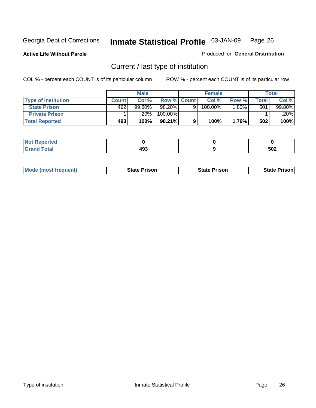**Active Life Without Parole** 

Produced for **General Distribution**

## Current / last type of institution

|                            |              | <b>Male</b> |                    | <b>Female</b> |         |       | <b>Total</b> |
|----------------------------|--------------|-------------|--------------------|---------------|---------|-------|--------------|
| <b>Type of Institution</b> | <b>Count</b> | Col %       | <b>Row % Count</b> | Col%          | Row %   | Total | Col %        |
| <b>State Prison</b>        | 492          | 99.80%      | 98.20%             | 100.00%       | $.80\%$ | 501   | 99.80%       |
| <b>Private Prison</b>      |              | ا 20%.      | 100.00%            |               |         |       | .20%         |
| <b>Total Reported</b>      | 493          | 100%        | 98.21%             | 100%          | 1.79%   | 502   | 100%         |

| τeα              |     |     |
|------------------|-----|-----|
| <b>otal</b><br>- | 493 | 502 |

| <b>Mode (most frequent)</b> | <b>State Prison</b> | <b>State Prison</b> | <b>State Prison</b> |
|-----------------------------|---------------------|---------------------|---------------------|
|                             |                     |                     |                     |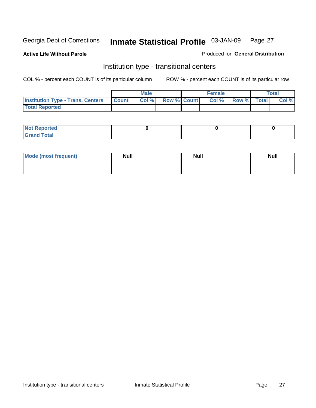**Active Life Without Parole** 

Produced for **General Distribution**

#### Institution type - transitional centers

|                                                | Male  |                    | <b>Female</b> |                   | Total |
|------------------------------------------------|-------|--------------------|---------------|-------------------|-------|
| <b>Institution Type - Trans. Centers Count</b> | Col % | <b>Row % Count</b> |               | Col % Row % Total | Col % |
| <b>Total Reported</b>                          |       |                    |               |                   |       |

| rtea<br>20 NGL 2<br>  |  |  |
|-----------------------|--|--|
| into!<br>---<br>_____ |  |  |

| Mode (most frequent) | <b>Null</b> | <b>Null</b> | <b>Null</b> |
|----------------------|-------------|-------------|-------------|
|                      |             |             |             |
|                      |             |             |             |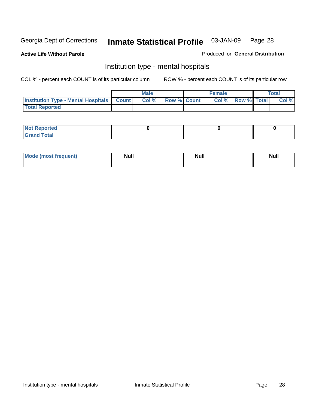**Active Life Without Parole** 

Produced for **General Distribution**

#### Institution type - mental hospitals

|                                                  | <b>Male</b> |                    | <b>Female</b> |                   | <b>Total</b> |
|--------------------------------------------------|-------------|--------------------|---------------|-------------------|--------------|
| <b>Institution Type - Mental Hospitals Count</b> | Col%        | <b>Row % Count</b> |               | Col % Row % Total | Col %        |
| <b>Total Reported</b>                            |             |                    |               |                   |              |

| <b>Not Reported</b> |  |  |
|---------------------|--|--|
| <b>Fotal</b><br>Cro |  |  |

| Mode (most frequent) | <b>Null</b> | <b>Null</b> | <b>Null</b> |
|----------------------|-------------|-------------|-------------|
|                      |             |             |             |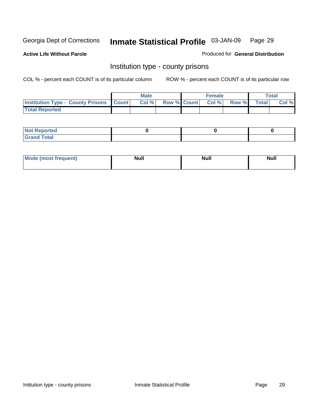**Active Life Without Parole** 

Produced for **General Distribution**

#### Institution type - county prisons

|                                                    | <b>Male</b> |  | <b>Female</b>            |              |              | <b>Total</b> |
|----------------------------------------------------|-------------|--|--------------------------|--------------|--------------|--------------|
| <b>Institution Type - County Prisons   Count  </b> | Col %       |  | <b>Row % Count Col %</b> | <b>Row %</b> | <b>Total</b> | Col %        |
| <b>Total Reported</b>                              |             |  |                          |              |              |              |

| <b>Not</b><br><b>Reported</b> |  |  |
|-------------------------------|--|--|
| <b>Grand Total</b>            |  |  |

| <b>Mo</b><br>frequent) | NI. . II<br>1u 11 | <b>Moll</b> | <b>Null</b> |
|------------------------|-------------------|-------------|-------------|
|                        |                   |             |             |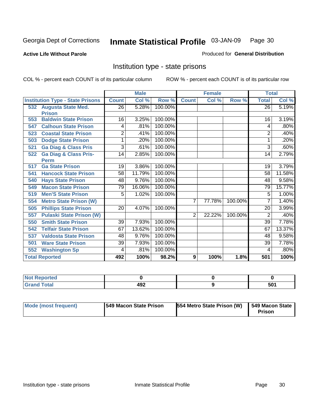#### **Active Life Without Parole**

#### Produced for **General Distribution**

#### Institution type - state prisons

|     |                                         | <b>Male</b>    |        | <b>Female</b> |                |        | <b>Total</b> |              |        |
|-----|-----------------------------------------|----------------|--------|---------------|----------------|--------|--------------|--------------|--------|
|     | <b>Institution Type - State Prisons</b> | <b>Count</b>   | Col %  | Row %         | <b>Count</b>   | Col %  | Row %        | <b>Total</b> | Col %  |
|     | 532 Augusta State Med.                  | 26             | 5.28%  | 100.00%       |                |        |              | 26           | 5.19%  |
|     | <b>Prison</b>                           |                |        |               |                |        |              |              |        |
| 553 | <b>Baldwin State Prison</b>             | 16             | 3.25%  | 100.00%       |                |        |              | 16           | 3.19%  |
| 547 | <b>Calhoun State Prison</b>             | 4              | .81%   | 100.00%       |                |        |              | 4            | .80%   |
| 523 | <b>Coastal State Prison</b>             | $\overline{2}$ | .41%   | 100.00%       |                |        |              | 2            | .40%   |
| 503 | <b>Dodge State Prison</b>               | 1              | .20%   | 100.00%       |                |        |              | 1            | .20%   |
| 521 | <b>Ga Diag &amp; Class Pris</b>         | 3              | .61%   | 100.00%       |                |        |              | 3            | .60%   |
| 522 | <b>Ga Diag &amp; Class Pris-</b>        | 14             | 2.85%  | 100.00%       |                |        |              | 14           | 2.79%  |
|     | <b>Perm</b>                             |                |        |               |                |        |              |              |        |
| 517 | <b>Ga State Prison</b>                  | 19             | 3.86%  | 100.00%       |                |        |              | 19           | 3.79%  |
| 541 | <b>Hancock State Prison</b>             | 58             | 11.79% | 100.00%       |                |        |              | 58           | 11.58% |
| 540 | <b>Hays State Prison</b>                | 48             | 9.76%  | 100.00%       |                |        |              | 48           | 9.58%  |
| 549 | <b>Macon State Prison</b>               | 79             | 16.06% | 100.00%       |                |        |              | 79           | 15.77% |
| 519 | <b>Men'S State Prison</b>               | 5              | 1.02%  | 100.00%       |                |        |              | 5            | 1.00%  |
| 554 | <b>Metro State Prison (W)</b>           |                |        |               | $\overline{7}$ | 77.78% | 100.00%      | 7            | 1.40%  |
| 505 | <b>Phillips State Prison</b>            | 20             | 4.07%  | 100.00%       |                |        |              | 20           | 3.99%  |
| 557 | <b>Pulaski State Prison (W)</b>         |                |        |               | $\overline{2}$ | 22.22% | 100.00%      | 2            | .40%   |
| 550 | <b>Smith State Prison</b>               | 39             | 7.93%  | 100.00%       |                |        |              | 39           | 7.78%  |
| 542 | <b>Telfair State Prison</b>             | 67             | 13.62% | 100.00%       |                |        |              | 67           | 13.37% |
| 537 | <b>Valdosta State Prison</b>            | 48             | 9.76%  | 100.00%       |                |        |              | 48           | 9.58%  |
| 501 | <b>Ware State Prison</b>                | 39             | 7.93%  | 100.00%       |                |        |              | 39           | 7.78%  |
| 552 | <b>Washington Sp</b>                    | 4              | .81%   | 100.00%       |                |        |              | 4            | .80%   |
|     | <b>Total Reported</b>                   | 492            | 100%   | 98.2%         | 9              | 100%   | 1.8%         | 501          | 100%   |

| <b>ported</b><br>-N/<br>. |      |     |
|---------------------------|------|-----|
| <b>Total</b>              | 102  | 501 |
| C <sub>ucu</sub>          | 4J L | ວບ. |

| Mode (most frequent) | 1549 Macon State Prison | 554 Metro State Prison (W) | 549 Macon State<br>Prison |
|----------------------|-------------------------|----------------------------|---------------------------|
|----------------------|-------------------------|----------------------------|---------------------------|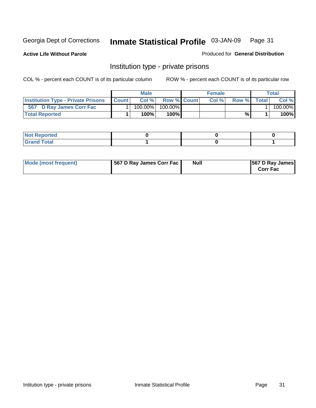**Active Life Without Parole** 

Produced for **General Distribution**

#### Institution type - private prisons

|                                           |              | Male    |                    | <b>Female</b> |              |       | <b>Total</b> |
|-------------------------------------------|--------------|---------|--------------------|---------------|--------------|-------|--------------|
| <b>Institution Type - Private Prisons</b> | <b>Count</b> | Col %   | <b>Row % Count</b> | Col %         | <b>Row %</b> | Total | Col %        |
| 567 D Ray James Corr Fac                  |              | 100.00% | $100.00\%$         |               |              |       | 100.00%      |
| <b>Total Reported</b>                     |              | 100%    | 100% <b>I</b>      |               | %            |       | 100%         |

| orted<br>$\sim$<br>.            |  |  |
|---------------------------------|--|--|
| $\sim$<br><b>TULAI</b><br>----- |  |  |

| Mode (most frequent) | 567 D Ray James Corr Fac | <b>Null</b> | <b>567 D Ray James</b><br><b>Corr Fac</b> |
|----------------------|--------------------------|-------------|-------------------------------------------|
|----------------------|--------------------------|-------------|-------------------------------------------|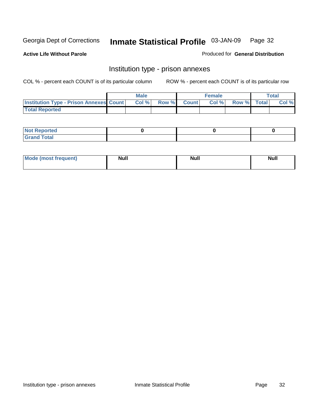**Active Life Without Parole** 

Produced for **General Distribution**

#### Institution type - prison annexes

|                                                | <b>Male</b> |       |              | Female |             | <b>Total</b> |
|------------------------------------------------|-------------|-------|--------------|--------|-------------|--------------|
| <b>Institution Type - Prison Annexes Count</b> | Col %       | Row % | <b>Count</b> | Col %  | Row % Total | Col %        |
| <b>Total Reported</b>                          |             |       |              |        |             |              |

| <b>Not</b><br><b>Reported</b>    |  |  |
|----------------------------------|--|--|
| <b>Total</b><br>Gran<br>$\sim$ . |  |  |

| Mode (most frequent) | <b>Null</b> | <b>Null</b> | <b>Null</b> |
|----------------------|-------------|-------------|-------------|
|                      |             |             |             |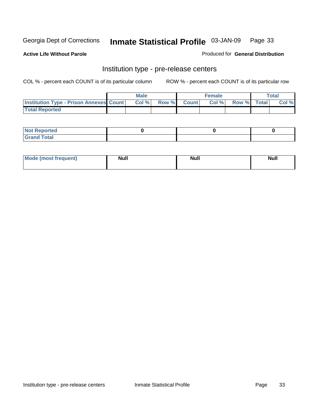**Active Life Without Parole** 

Produced for **General Distribution**

#### Institution type - pre-release centers

|                                                | <b>Male</b> |       |              | Female |             | <b>Total</b> |
|------------------------------------------------|-------------|-------|--------------|--------|-------------|--------------|
| <b>Institution Type - Prison Annexes Count</b> | Col %       | Row % | <b>Count</b> | Col %  | Row % Total | Col %        |
| <b>Total Reported</b>                          |             |       |              |        |             |              |

| <b>Not</b><br><b>Reported</b>    |  |  |
|----------------------------------|--|--|
| <b>Total</b><br>Gran<br>$\sim$ . |  |  |

| Mode (most frequent) | <b>Null</b> | <b>Null</b> | <b>Null</b> |
|----------------------|-------------|-------------|-------------|
|                      |             |             |             |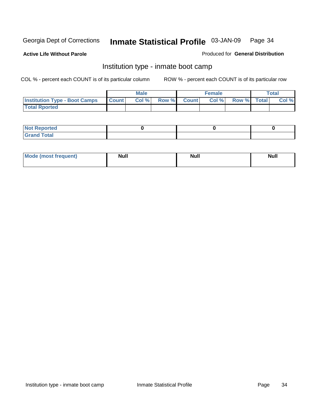**Active Life Without Parole** 

Produced for **General Distribution**

#### Institution type - inmate boot camp

|                                      |              | Male  |             | <b>Female</b> |             | <b>Total</b> |
|--------------------------------------|--------------|-------|-------------|---------------|-------------|--------------|
| <b>Institution Type - Boot Camps</b> | <b>Count</b> | Col % | Row % Count | Col %         | Row % Total | Col %        |
| <b>Total Rported</b>                 |              |       |             |               |             |              |

| <b>Not Reported</b>  |  |  |
|----------------------|--|--|
| <b>Total</b><br>Croy |  |  |

| Mode (most frequent) | <b>Null</b> | <b>Null</b> | <b>Null</b> |
|----------------------|-------------|-------------|-------------|
|                      |             |             |             |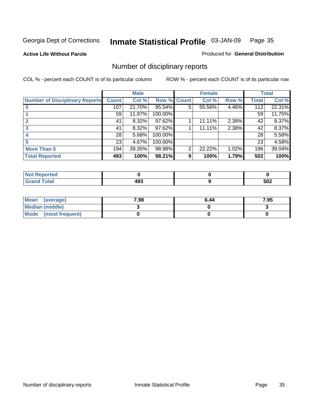**Active Life Without Parole** 

Produced for **General Distribution**

## Number of disciplinary reports

|                                       |              | <b>Male</b> |                    |   | <b>Female</b> |       |       | <b>Total</b> |
|---------------------------------------|--------------|-------------|--------------------|---|---------------|-------|-------|--------------|
| <b>Number of Disciplinary Reports</b> | <b>Count</b> | Col %       | <b>Row % Count</b> |   | Col %         | Row % | Total | Col %        |
|                                       | 107          | 21.70%      | 95.54%             | 5 | 55.56%        | 4.46% | 112   | 22.31%       |
|                                       | 59           | 11.97%      | 100.00%            |   |               |       | 59    | 11.75%       |
| $\mathbf{2}$                          | 41           | 8.32%       | 97.62%             |   | 11.11%        | 2.38% | 42    | 8.37%        |
| 3                                     | 41           | 8.32%       | 97.62%             |   | 11.11%        | 2.38% | 42    | 8.37%        |
|                                       | 28           | 5.68%       | 100.00%            |   |               |       | 28    | 5.58%        |
| 5                                     | 23           | 4.67%       | 100.00%            |   |               |       | 23    | 4.58%        |
| <b>More Than 5</b>                    | 194          | 39.35%      | 98.98%             | 2 | 22.22%        | 1.02% | 196   | 39.04%       |
| <b>Total Reported</b>                 | 493          | 100%        | 98.21%             | 9 | 100%          | 1.79% | 502   | 100%         |

| ted.<br>NO.     |              |     |
|-----------------|--------------|-----|
| ั∩tal<br>______ | 00. ٨<br>493 | 502 |

| Mean (average)         | 7.98 | 6.44 | 7.95 |
|------------------------|------|------|------|
| <b>Median (middle)</b> |      |      |      |
| Mode (most frequent)   |      |      |      |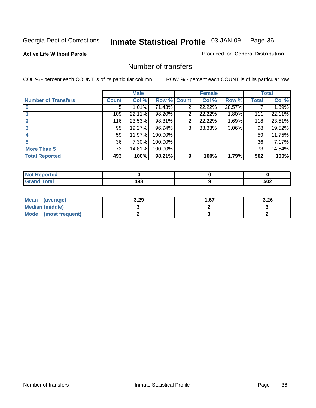#### **Active Life Without Parole**

#### Produced for **General Distribution**

#### Number of transfers

|                            |              | <b>Male</b> |             |   | <b>Female</b> |          |              | <b>Total</b> |
|----------------------------|--------------|-------------|-------------|---|---------------|----------|--------------|--------------|
| <b>Number of Transfers</b> | <b>Count</b> | Col %       | Row % Count |   | Col %         | Row %    | <b>Total</b> | Col %        |
|                            | 5            | 1.01%       | 71.43%      | 2 | 22.22%        | 28.57%   |              | 1.39%        |
|                            | 109          | 22.11%      | 98.20%      | 2 | 22.22%        | 1.80%    | 111          | 22.11%       |
|                            | 116          | 23.53%      | 98.31%      | 2 | 22.22%        | 1.69%    | 118          | 23.51%       |
|                            | 95           | 19.27%      | 96.94%      | 3 | 33.33%        | $3.06\%$ | 98           | 19.52%       |
|                            | 59           | 11.97%      | 100.00%     |   |               |          | 59           | 11.75%       |
|                            | 36           | 7.30%       | 100.00%     |   |               |          | 36           | 7.17%        |
| <b>More Than 5</b>         | 73           | 14.81%      | 100.00%     |   |               |          | 73           | 14.54%       |
| <b>Total Reported</b>      | 493          | 100%        | 98.21%      | 9 | 100%          | 1.79%    | 502          | 100%         |

| <b>Collaboration</b><br>N<br>тес |                         |            |
|----------------------------------|-------------------------|------------|
| $\sim$                           | .<br>. .<br>4JJ<br>$ -$ | cnn<br>JUL |

| Mean (average)       | 3.29 | l .67 | 3.26 |
|----------------------|------|-------|------|
| Median (middle)      |      |       |      |
| Mode (most frequent) |      |       |      |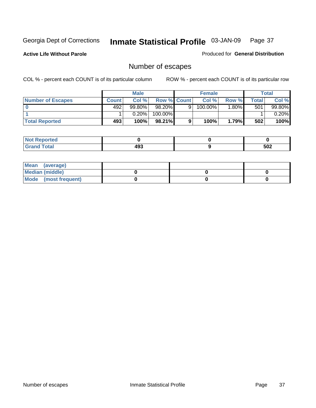**Active Life Without Parole** 

Produced for **General Distribution**

### Number of escapes

|                       |         | <b>Male</b> |                    |   | <b>Female</b> |          |       | <b>Total</b> |
|-----------------------|---------|-------------|--------------------|---|---------------|----------|-------|--------------|
| Number of Escapes     | Count l | Col %       | <b>Row % Count</b> |   | Col %         | Row %    | Total | Col %        |
|                       | 492'    | $99.80\%$   | $98.20\%$          | 9 | 100.00%       | $1.80\%$ | 501   | 99.80%       |
|                       |         | 0.20%       | 100.00%            |   |               |          |       | 0.20%        |
| <b>Total Reported</b> | 493     | 100%        | $98.21\%$          |   | 100%          | 1.79%    | 502   | 100%         |

| neo                             |            |     |
|---------------------------------|------------|-----|
| <b>otal</b><br>$\mathbf{v}$ and | 10C<br>193 | 502 |

| Mean (average)       |  |  |
|----------------------|--|--|
| Median (middle)      |  |  |
| Mode (most frequent) |  |  |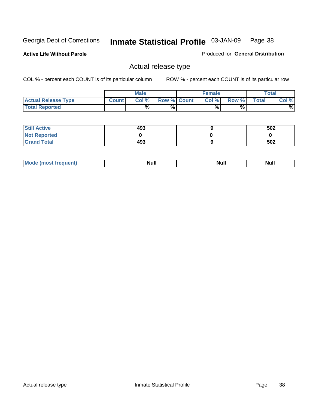**Active Life Without Parole** 

Produced for **General Distribution**

### Actual release type

|                            |              | <b>Male</b> |                    | <b>Female</b> |        |       | $\tau$ otal |
|----------------------------|--------------|-------------|--------------------|---------------|--------|-------|-------------|
| <b>Actual Release Type</b> | <b>Count</b> | Col %       | <b>Row % Count</b> | Col %         | Row %I | Total | Col %       |
| <b>Total Reported</b>      |              | $\%$        | %                  | %             | %      |       | %           |

| <b>Still Active</b> | 493 | 502 |
|---------------------|-----|-----|
| <b>Not Reported</b> |     |     |
| <b>Grand Total</b>  | 493 | 502 |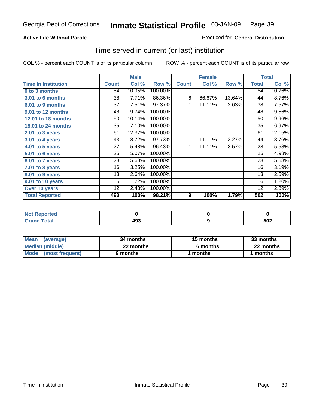#### **Active Life Without Parole**

#### Produced for **General Distribution**

### Time served in current (or last) institution

|                            |              | <b>Male</b> |         |                  | <b>Female</b> |        |              | <b>Total</b> |
|----------------------------|--------------|-------------|---------|------------------|---------------|--------|--------------|--------------|
| <b>Time In Institution</b> | <b>Count</b> | Col %       | Row %   | <b>Count</b>     | Col %         | Row %  | <b>Total</b> | Col %        |
| 0 to 3 months              | 54           | 10.95%      | 100.00% |                  |               |        | 54           | 10.76%       |
| 3.01 to 6 months           | 38           | 7.71%       | 86.36%  | 6                | 66.67%        | 13.64% | 44           | 8.76%        |
| 6.01 to 9 months           | 37           | 7.51%       | 97.37%  | 1                | 11.11%        | 2.63%  | 38           | 7.57%        |
| 9.01 to 12 months          | 48           | 9.74%       | 100.00% |                  |               |        | 48           | 9.56%        |
| 12.01 to 18 months         | 50           | 10.14%      | 100.00% |                  |               |        | 50           | 9.96%        |
| 18.01 to 24 months         | 35           | 7.10%       | 100.00% |                  |               |        | 35           | 6.97%        |
| 2.01 to 3 years            | 61           | 12.37%      | 100.00% |                  |               |        | 61           | 12.15%       |
| 3.01 to 4 years            | 43           | 8.72%       | 97.73%  | 1                | 11.11%        | 2.27%  | 44           | 8.76%        |
| 4.01 to 5 years            | 27           | 5.48%       | 96.43%  | 1                | 11.11%        | 3.57%  | 28           | 5.58%        |
| $5.01$ to 6 years          | 25           | 5.07%       | 100.00% |                  |               |        | 25           | 4.98%        |
| 6.01 to 7 years            | 28           | 5.68%       | 100.00% |                  |               |        | 28           | 5.58%        |
| $7.01$ to 8 years          | 16           | 3.25%       | 100.00% |                  |               |        | 16           | 3.19%        |
| 8.01 to 9 years            | 13           | 2.64%       | 100.00% |                  |               |        | 13           | 2.59%        |
| 9.01 to 10 years           | 6            | 1.22%       | 100.00% |                  |               |        | 6            | 1.20%        |
| Over 10 years              | 12           | 2.43%       | 100.00% |                  |               |        | 12           | 2.39%        |
| <b>Total Reported</b>      | 493          | 100%        | 98.21%  | $\boldsymbol{9}$ | 100%          | 1.79%  | 502          | 100%         |

| <b>Not Reported</b> |           |     |
|---------------------|-----------|-----|
| Total               | "^<br>193 | 502 |

| <b>Mean</b><br>(average) | 34 months | 15 months | 33 months |  |
|--------------------------|-----------|-----------|-----------|--|
| Median (middle)          | 22 months | 6 months  | 22 months |  |
| Mode (most frequent)     | 9 months  | ∣ months  | months    |  |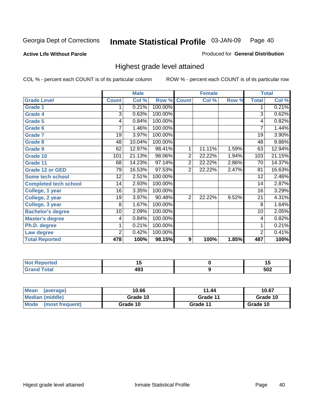**Active Life Without Parole** 

Produced for **General Distribution**

### Highest grade level attained

|                              |                | <b>Male</b> |         |                | <b>Female</b> |       |                | <b>Total</b> |
|------------------------------|----------------|-------------|---------|----------------|---------------|-------|----------------|--------------|
| <b>Grade Level</b>           | <b>Count</b>   | Col %       | Row %   | <b>Count</b>   | Col %         | Row % | <b>Total</b>   | Col %        |
| <b>Grade 1</b>               | 1              | 0.21%       | 100.00% |                |               |       | 1              | 0.21%        |
| <b>Grade 4</b>               | 3              | 0.63%       | 100.00% |                |               |       | $\overline{3}$ | 0.62%        |
| Grade 5                      | 4              | 0.84%       | 100.00% |                |               |       | 4              | 0.82%        |
| Grade 6                      | 7              | 1.46%       | 100.00% |                |               |       | $\overline{7}$ | 1.44%        |
| <b>Grade 7</b>               | 19             | 3.97%       | 100.00% |                |               |       | 19             | 3.90%        |
| <b>Grade 8</b>               | 48             | 10.04%      | 100.00% |                |               |       | 48             | 9.86%        |
| <b>Grade 9</b>               | 62             | 12.97%      | 98.41%  | 1              | 11.11%        | 1.59% | 63             | 12.94%       |
| Grade 10                     | 101            | 21.13%      | 98.06%  | $\overline{2}$ | 22.22%        | 1.94% | 103            | 21.15%       |
| Grade 11                     | 68             | 14.23%      | 97.14%  | $\overline{2}$ | 22.22%        | 2.86% | 70             | 14.37%       |
| <b>Grade 12 or GED</b>       | 79             | 16.53%      | 97.53%  | 2              | 22.22%        | 2.47% | 81             | 16.63%       |
| <b>Some tech school</b>      | 12             | 2.51%       | 100.00% |                |               |       | 12             | 2.46%        |
| <b>Completed tech school</b> | 14             | 2.93%       | 100.00% |                |               |       | 14             | 2.87%        |
| College, 1 year              | 16             | 3.35%       | 100.00% |                |               |       | 16             | 3.29%        |
| College, 2 year              | 19             | 3.97%       | 90.48%  | $\overline{2}$ | 22.22%        | 9.52% | 21             | 4.31%        |
| College, 3 year              | 8              | 1.67%       | 100.00% |                |               |       | 8              | 1.64%        |
| <b>Bachelor's degree</b>     | 10             | 2.09%       | 100.00% |                |               |       | 10             | 2.05%        |
| <b>Master's degree</b>       | 4              | 0.84%       | 100.00% |                |               |       | 4              | 0.82%        |
| Ph.D. degree                 | 1              | 0.21%       | 100.00% |                |               |       | 1              | 0.21%        |
| Law degree                   | $\overline{2}$ | 0.42%       | 100.00% |                |               |       | $\overline{2}$ | 0.41%        |
| <b>Total Reported</b>        | 478            | 100%        | 98.15%  | 9              | 100%          | 1.85% | 487            | 100%         |

| الدرجية.<br>τeα<br>NI. | .,         | יי         |
|------------------------|------------|------------|
| <b>Coto</b> "          | ៱៱៱<br>49J | にへつ<br>ວບ∠ |

| <b>Mean</b><br>(average)       | 10.66    | 11.44    | 10.67    |
|--------------------------------|----------|----------|----------|
| Median (middle)                | Grade 10 | Grade 11 | Grade 10 |
| <b>Mode</b><br>(most frequent) | Grade 10 | Grade 11 | Grade 10 |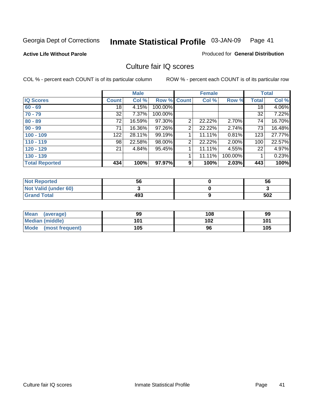#### **Active Life Without Parole**

#### Produced for **General Distribution**

### Culture fair IQ scores

|                       |              | <b>Male</b> |             |                | <b>Female</b> |          |              | <b>Total</b> |
|-----------------------|--------------|-------------|-------------|----------------|---------------|----------|--------------|--------------|
| <b>IQ Scores</b>      | <b>Count</b> | Col %       | Row % Count |                | Col %         | Row %    | <b>Total</b> | Col %        |
| $60 - 69$             | 18           | 4.15%       | 100.00%     |                |               |          | 18           | 4.06%        |
| $70 - 79$             | 32           | 7.37%       | 100.00%     |                |               |          | 32           | 7.22%        |
| $80 - 89$             | 72           | 16.59%      | 97.30%      | $\overline{2}$ | 22.22%        | 2.70%    | 74           | 16.70%       |
| $90 - 99$             | 71           | 16.36%      | 97.26%      | 2              | 22.22%        | 2.74%    | 73           | 16.48%       |
| $100 - 109$           | 122          | 28.11%      | 99.19%      | 4              | 11.11%        | 0.81%    | 123          | 27.77%       |
| $110 - 119$           | 98           | 22.58%      | 98.00%      | 2              | 22.22%        | $2.00\%$ | 100          | 22.57%       |
| $120 - 129$           | 21           | 4.84%       | 95.45%      |                | 11.11%        | 4.55%    | 22           | 4.97%        |
| $130 - 139$           |              |             |             | 4              | 11.11%        | 100.00%  |              | 0.23%        |
| <b>Total Reported</b> | 434          | 100%        | 97.97%      | 9              | 100%          | 2.03%    | 443          | 100%         |

| <b>Not Reported</b>  | 56  | 56  |
|----------------------|-----|-----|
| Not Valid (under 60) |     |     |
| <b>Grand Total</b>   | 493 | 502 |

| <b>Mean</b><br>(average) | 99  | 108 | 99  |
|--------------------------|-----|-----|-----|
| <b>Median (middle)</b>   | 101 | 102 | 101 |
| Mode (most frequent)     | 105 | 96  | 105 |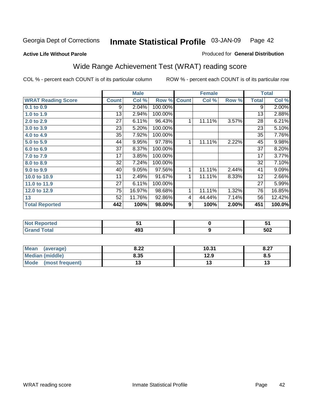#### **Active Life Without Parole**

#### Produced for **General Distribution**

### Wide Range Achievement Test (WRAT) reading score

|                           |                 | <b>Male</b> |         |                  | <b>Female</b>    |       |                 | <b>Total</b> |
|---------------------------|-----------------|-------------|---------|------------------|------------------|-------|-----------------|--------------|
| <b>WRAT Reading Score</b> | <b>Count</b>    | Col %       | Row %   | <b>Count</b>     | Col %            | Row % | <b>Total</b>    | Col %        |
| 0.1 to 0.9                | 9               | 2.04%       | 100.00% |                  |                  |       | 9               | 2.00%        |
| 1.0 to 1.9                | 13              | 2.94%       | 100.00% |                  |                  |       | 13              | 2.88%        |
| 2.0 to 2.9                | $\overline{27}$ | 6.11%       | 96.43%  | 1                | 11.11%           | 3.57% | $\overline{28}$ | 6.21%        |
| 3.0 to 3.9                | 23              | 5.20%       | 100.00% |                  |                  |       | 23              | 5.10%        |
| 4.0 to 4.9                | 35              | 7.92%       | 100.00% |                  |                  |       | 35              | 7.76%        |
| 5.0 to 5.9                | 44              | 9.95%       | 97.78%  | 1                | 11.11%           | 2.22% | 45              | 9.98%        |
| 6.0 to 6.9                | 37              | 8.37%       | 100.00% |                  |                  |       | 37              | 8.20%        |
| 7.0 to 7.9                | 17              | 3.85%       | 100.00% |                  |                  |       | $\overline{17}$ | 3.77%        |
| 8.0 to 8.9                | 32              | 7.24%       | 100.00% |                  |                  |       | 32              | 7.10%        |
| 9.0 to 9.9                | 40              | 9.05%       | 97.56%  | 1                | 11.11%           | 2.44% | 41              | 9.09%        |
| 10.0 to 10.9              | 11              | 2.49%       | 91.67%  | 1                | 11.11%           | 8.33% | 12              | 2.66%        |
| 11.0 to 11.9              | 27              | 6.11%       | 100.00% |                  |                  |       | 27              | 5.99%        |
| 12.0 to 12.9              | 75              | 16.97%      | 98.68%  | 1                | 11.11%           | 1.32% | 76              | 16.85%       |
| 13                        | 52              | 11.76%      | 92.86%  | 4                | 44.44%           | 7.14% | 56              | 12.42%       |
| <b>Total Reported</b>     | 442             | 100%        | 98.00%  | $\boldsymbol{9}$ | 100%             | 2.00% | 451             | 100.0%       |
|                           |                 |             |         |                  |                  |       |                 |              |
| <b>Not Reported</b>       |                 | 51          |         |                  | $\pmb{0}$        |       |                 | 51           |
| <b>Grand Total</b>        |                 | 493         |         |                  | $\boldsymbol{9}$ |       |                 | 502          |

| <b>Mean</b><br>(average) | ר הס<br>0.ZZ | 10.31 | 0.27<br>0.21 |
|--------------------------|--------------|-------|--------------|
| <b>Median (middle)</b>   | 8.35         | 12.9  | o.u          |
| Mode<br>(most frequent)  | IJ           | IJ    |              |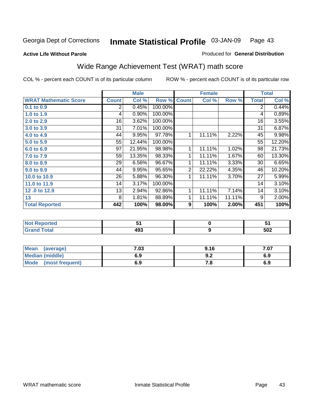#### **Active Life Without Parole**

#### Produced for **General Distribution**

### Wide Range Achievement Test (WRAT) math score

|                              |              | <b>Male</b> |                      |                  | <b>Female</b>    |        |                 | <b>Total</b> |
|------------------------------|--------------|-------------|----------------------|------------------|------------------|--------|-----------------|--------------|
| <b>WRAT Mathematic Score</b> | <b>Count</b> | Col %       | Row %                | <b>Count</b>     | Col %            | Row %  | <b>Total</b>    | Col %        |
| 0.1 to 0.9                   | 2            | 0.45%       | 100.00%              |                  |                  |        | $\overline{2}$  | 0.44%        |
| 1.0 to 1.9                   | 4            | 0.90%       | 100.00%              |                  |                  |        | 4               | 0.89%        |
| 2.0 to 2.9                   | 16           | 3.62%       | 100.00%              |                  |                  |        | $\overline{16}$ | 3.55%        |
| 3.0 to 3.9                   | 31           | 7.01%       | 100.00%              |                  |                  |        | 31              | 6.87%        |
| 4.0 to 4.9                   | 44           | 9.95%       | $\overline{97.78\%}$ | 1                | 11.11%           | 2.22%  | 45              | 9.98%        |
| 5.0 to 5.9                   | 55           | 12.44%      | 100.00%              |                  |                  |        | 55              | 12.20%       |
| 6.0 to 6.9                   | 97           | 21.95%      | 98.98%               | 1                | 11.11%           | 1.02%  | 98              | 21.73%       |
| 7.0 to 7.9                   | 59           | 13.35%      | 98.33%               | 1                | 11.11%           | 1.67%  | 60              | 13.30%       |
| 8.0 to 8.9                   | 29           | 6.56%       | 96.67%               | 1                | 11.11%           | 3.33%  | 30              | 6.65%        |
| 9.0 to 9.9                   | 44           | 9.95%       | 95.65%               | $\overline{2}$   | 22.22%           | 4.35%  | 46              | 10.20%       |
| 10.0 to 10.9                 | 26           | 5.88%       | 96.30%               | 1                | 11.11%           | 3.70%  | 27              | 5.99%        |
| 11.0 to 11.9                 | 14           | 3.17%       | 100.00%              |                  |                  |        | 14              | 3.10%        |
| 12.0 to 12.9                 | 13           | 2.94%       | 92.86%               | 1                | 11.11%           | 7.14%  | 14              | 3.10%        |
| 13                           | 8            | 1.81%       | 88.89%               | 1                | 11.11%           | 11.11% | 9               | 2.00%        |
| <b>Total Reported</b>        | 442          | 100%        | 98.00%               | $\boldsymbol{9}$ | 100%             | 2.00%  | 451             | 100%         |
|                              |              |             |                      |                  |                  |        |                 |              |
| <b>Not Reported</b>          |              | 51          |                      |                  | $\pmb{0}$        |        |                 | 51           |
| <b>Grand Total</b>           |              | 493         |                      |                  | $\boldsymbol{9}$ |        |                 | 502          |

| <b>Mean</b><br>(average)       | 7.03 | 9.16 | 707<br>ו ט. |
|--------------------------------|------|------|-------------|
| Median (middle)                | 6.9  | J.Z  | 6.9         |
| <b>Mode</b><br>(most frequent) | 6.9  | .о   | 6.9         |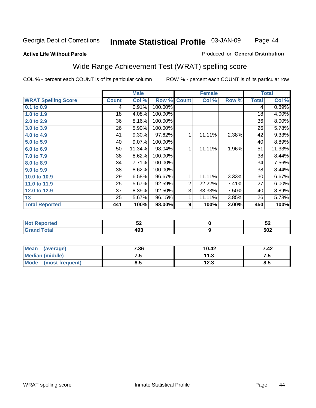Page 44

#### **Active Life Without Parole**

#### Produced for **General Distribution**

### Wide Range Achievement Test (WRAT) spelling score

|                            |                 | <b>Male</b> |         |                  | <b>Female</b> |       |              | <b>Total</b> |
|----------------------------|-----------------|-------------|---------|------------------|---------------|-------|--------------|--------------|
| <b>WRAT Spelling Score</b> | <b>Count</b>    | Col %       | Row %   | <b>Count</b>     | Col %         | Row % | <b>Total</b> | Col %        |
| 0.1 to 0.9                 | 4               | 0.91%       | 100.00% |                  |               |       | 4            | 0.89%        |
| 1.0 to 1.9                 | 18              | 4.08%       | 100.00% |                  |               |       | 18           | 4.00%        |
| 2.0 to 2.9                 | 36              | 8.16%       | 100.00% |                  |               |       | 36           | 8.00%        |
| 3.0 to 3.9                 | 26              | 5.90%       | 100.00% |                  |               |       | 26           | 5.78%        |
| 4.0 to 4.9                 | 41              | 9.30%       | 97.62%  | 1                | 11.11%        | 2.38% | 42           | 9.33%        |
| 5.0 to 5.9                 | 40              | 9.07%       | 100.00% |                  |               |       | 40           | 8.89%        |
| 6.0 to 6.9                 | 50              | 11.34%      | 98.04%  | 1                | 11.11%        | 1.96% | 51           | 11.33%       |
| 7.0 to 7.9                 | 38              | 8.62%       | 100.00% |                  |               |       | 38           | 8.44%        |
| 8.0 to 8.9                 | 34              | 7.71%       | 100.00% |                  |               |       | 34           | 7.56%        |
| 9.0 to 9.9                 | 38              | 8.62%       | 100.00% |                  |               |       | 38           | 8.44%        |
| 10.0 to 10.9               | 29              | 6.58%       | 96.67%  | 1                | 11.11%        | 3.33% | 30           | 6.67%        |
| 11.0 to 11.9               | 25              | 5.67%       | 92.59%  | 2                | 22.22%        | 7.41% | 27           | 6.00%        |
| 12.0 to 12.9               | $\overline{37}$ | 8.39%       | 92.50%  | $\overline{3}$   | 33.33%        | 7.50% | 40           | 8.89%        |
| 13                         | 25              | 5.67%       | 96.15%  | 1                | 11.11%        | 3.85% | 26           | 5.78%        |
| <b>Total Reported</b>      | 441             | 100%        | 98.00%  | $\boldsymbol{9}$ | 100%          | 2.00% | 450          | 100%         |
|                            |                 |             |         |                  |               |       |              |              |
| <b>Not Reported</b>        |                 | 52          |         |                  | 0             |       |              | 52           |
| <b>Grand Total</b>         |                 | 493         |         |                  | 9             |       |              | 502          |

| Mean<br>(average)       | 7.36 | 10.42       | 7.42              |
|-------------------------|------|-------------|-------------------|
| <b>Median (middle)</b>  | .    | 11.3        | ن. د              |
| Mode<br>(most frequent) | 8.5  | 1つ ?<br>د.ء | <b>Q</b> .<br>o.J |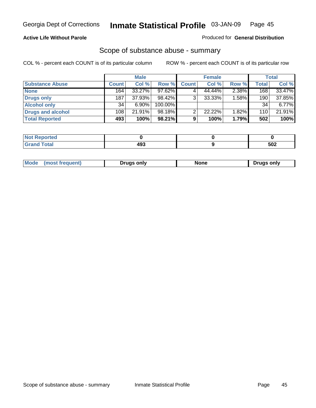#### **Active Life Without Parole**

#### Produced for **General Distribution**

### Scope of substance abuse - summary

|                        |              | <b>Male</b> |            |              | <b>Female</b> |          |       | Total    |
|------------------------|--------------|-------------|------------|--------------|---------------|----------|-------|----------|
| <b>Substance Abuse</b> | <b>Count</b> | Col %       | Row %      | <b>Count</b> | Col %         | Row %    | Total | Col %    |
| <b>None</b>            | 164          | $33.27\%$   | 97.62%     |              | 44.44%        | 2.38%    | 168   | 33.47%   |
| Drugs only             | 187          | 37.93%      | $98.42\%$  | 3            | 33.33%        | $1.58\%$ | 190   | 37.85%   |
| <b>Alcohol only</b>    | 34           | $6.90\%$    | $100.00\%$ |              |               |          | 34    | $6.77\%$ |
| Drugs and alcohol      | 108          | 21.91%      | 98.18%     | ົ            | 22.22%        | 1.82%    | 110   | 21.91%   |
| <b>Total Reported</b>  | 493          | 100%        | 98.21%     | 9            | 100%          | 1.79%    | 502   | 100%     |

| <b>Reported</b><br>$\sim$ |     |     |
|---------------------------|-----|-----|
| Total<br>-                | 102 | 502 |

|  | Mode<br>ונוצוווי | Druas onlv | None | only<br>Pruas . |
|--|------------------|------------|------|-----------------|
|--|------------------|------------|------|-----------------|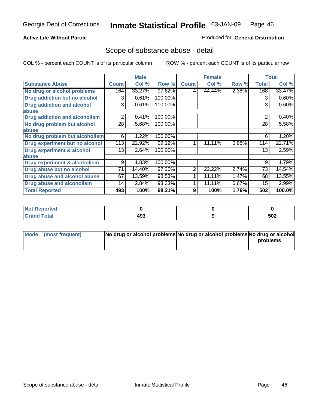#### **Active Life Without Parole**

#### Produced for **General Distribution**

### Scope of substance abuse - detail

|                                         |              | <b>Male</b> |         |              | <b>Female</b> |       |                | <b>Total</b> |
|-----------------------------------------|--------------|-------------|---------|--------------|---------------|-------|----------------|--------------|
| <b>Substance Abuse</b>                  | <b>Count</b> | Col %       | Row %   | <b>Count</b> | Col %         | Row % | <b>Total</b>   | Col %        |
| No drug or alcohol problems             | 164          | 33.27%      | 97.62%  | 4            | 44.44%        | 2.38% | 168            | 33.47%       |
| Drug addiction but no alcohol           | 3            | 0.61%       | 100.00% |              |               |       | 3              | 0.60%        |
| <b>Drug addiction and alcohol</b>       | 3            | 0.61%       | 100.00% |              |               |       | 3              | 0.60%        |
| abuse                                   |              |             |         |              |               |       |                |              |
| <b>Drug addiction and alcoholism</b>    | 2            | 0.41%       | 100.00% |              |               |       | $\overline{2}$ | 0.40%        |
| No drug problem but alcohol             | 28           | 5.68%       | 100.00% |              |               |       | 28             | 5.58%        |
| abuse                                   |              |             |         |              |               |       |                |              |
| No drug problem but alcoholism          | 6            | 1.22%       | 100.00% |              |               |       | 6              | 1.20%        |
| Drug experiment but no alcohol          | 113          | 22.92%      | 99.12%  | 1            | 11.11%        | 0.88% | 114            | 22.71%       |
| <b>Drug experiment &amp; alcohol</b>    | 13           | 2.64%       | 100.00% |              |               |       | 13             | 2.59%        |
| abuse                                   |              |             |         |              |               |       |                |              |
| <b>Drug experiment &amp; alcoholism</b> | 9            | 1.83%       | 100.00% |              |               |       | 9              | 1.79%        |
| Drug abuse but no alcohol               | 71           | 14.40%      | 97.26%  | 2            | 22.22%        | 2.74% | 73             | 14.54%       |
| Drug abuse and alcohol abuse            | 67           | 13.59%      | 98.53%  |              | 11.11%        | 1.47% | 68             | 13.55%       |
| <b>Drug abuse and alcoholism</b>        | 14           | 2.84%       | 93.33%  |              | 11.11%        | 6.67% | 15             | 2.99%        |
| <b>Total Reported</b>                   | 493          | 100%        | 98.21%  | 9            | 100%          | 1.79% | 502            | 100.0%       |

| <b>Not Reported</b> |     |     |
|---------------------|-----|-----|
| <b>Total</b>        | 493 | 502 |

| Mode (most frequent) | No drug or alcohol problems No drug or alcohol problems No drug or alcohol |          |
|----------------------|----------------------------------------------------------------------------|----------|
|                      |                                                                            | problems |
|                      |                                                                            |          |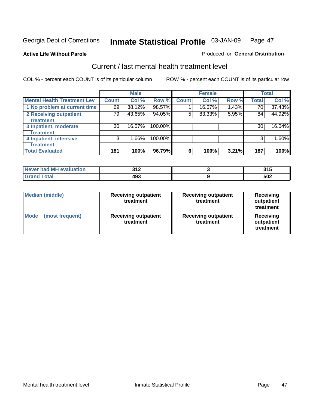#### **Active Life Without Parole**

#### Produced for **General Distribution**

### Current / last mental health treatment level

|                                    |              | <b>Male</b> |         |              | <b>Female</b> |       |              | <b>Total</b> |
|------------------------------------|--------------|-------------|---------|--------------|---------------|-------|--------------|--------------|
| <b>Mental Health Treatment Lev</b> | <b>Count</b> | Col %       | Row %   | <b>Count</b> | Col %         | Row % | <b>Total</b> | Col %        |
| 1 No problem at current time       | 69           | 38.12%      | 98.57%  |              | 16.67%        | 1.43% | 70           | 37.43%       |
| 2 Receiving outpatient             | 79           | 43.65%      | 94.05%  | 5            | 83.33%        | 5.95% | 84           | 44.92%       |
| treatment                          |              |             |         |              |               |       |              |              |
| 3 Inpatient, moderate              | 30           | 16.57%      | 100.00% |              |               |       | 30           | 16.04%       |
| treatment                          |              |             |         |              |               |       |              |              |
| 4 Inpatient, intensive             | 3            | 1.66%       | 100.00% |              |               |       | 3            | 1.60%        |
| treatment                          |              |             |         |              |               |       |              |              |
| <b>Total Evaluated</b>             | 181          | 100%        | 96.79%  | 6            | 100%          | 3.21% | 187          | 100%         |

| Never had MH evaluation | າ 4 2<br>J I A | .   |
|-------------------------|----------------|-----|
| $T0+0$                  | 493            | 502 |

| <b>Median (middle)</b>         | <b>Receiving outpatient</b><br>treatment | <b>Receiving outpatient</b><br>treatment | <b>Receiving</b><br>outpatient<br>treatment |
|--------------------------------|------------------------------------------|------------------------------------------|---------------------------------------------|
| <b>Mode</b><br>(most frequent) | <b>Receiving outpatient</b><br>treatment | <b>Receiving outpatient</b><br>treatment | Receiving<br>outpatient<br>treatment        |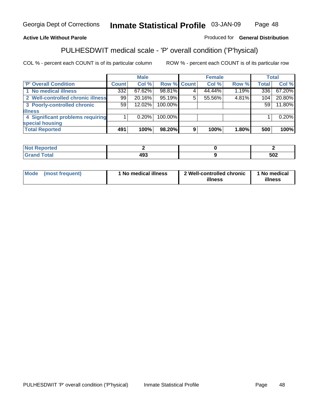### **Active Life Without Parole**

### Produced for **General Distribution**

### PULHESDWIT medical scale - 'P' overall condition ('P'hysical)

|                                   |         | <b>Male</b> |             | <b>Female</b> |          |              | <b>Total</b> |
|-----------------------------------|---------|-------------|-------------|---------------|----------|--------------|--------------|
| 'P' Overall Condition             | Count l | Col %       | Row % Count | Col %         | Row %    | <b>Total</b> | Col %        |
| 1 No medical illness              | 332     | 67.62%      | 98.81%      | 44.44%        | 1.19%    | 336          | 67.20%       |
| 2 Well-controlled chronic illness | 99      | $20.16\%$   | 95.19%      | 55.56%        | 4.81%    | 104          | 20.80%       |
| 3 Poorly-controlled chronic       | 59      | $12.02\%$   | 100.00%     |               |          | 59           | 11.80%       |
| <b>illness</b>                    |         |             |             |               |          |              |              |
| 4 Significant problems requiring  |         | $0.20\%$    | 100.00%     |               |          |              | 0.20%        |
| special housing                   |         |             |             |               |          |              |              |
| <b>Total Reported</b>             | 491     | 100%        | 98.20%      | 100%          | $1.80\%$ | 500          | 100%         |

| <b>Not Reported</b> |     |     |
|---------------------|-----|-----|
| <b>otal</b>         | 493 | 502 |

| Mode | (most frequent) | 'No medical illness | 2 Well-controlled chronic<br>illness | 1 No medical<br>illness |
|------|-----------------|---------------------|--------------------------------------|-------------------------|
|------|-----------------|---------------------|--------------------------------------|-------------------------|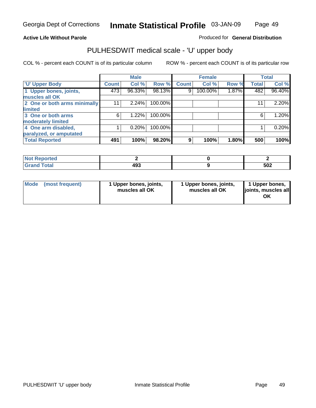### **Active Life Without Parole**

Produced for **General Distribution**

### PULHESDWIT medical scale - 'U' upper body

|                              |                    | <b>Male</b> |         |              | <b>Female</b> |       |              | <b>Total</b> |
|------------------------------|--------------------|-------------|---------|--------------|---------------|-------|--------------|--------------|
| <b>U' Upper Body</b>         | Count <sup>1</sup> | Col %       | Row %   | <b>Count</b> | Col %         | Row % | <b>Total</b> | Col %        |
| 1 Upper bones, joints,       | 473                | 96.33%      | 98.13%  | 9            | 100.00%       | 1.87% | 482          | 96.40%       |
| muscles all OK               |                    |             |         |              |               |       |              |              |
| 2 One or both arms minimally | 11                 | 2.24%       | 100.00% |              |               |       | 11           | 2.20%        |
| limited                      |                    |             |         |              |               |       |              |              |
| 3 One or both arms           | 6                  | 1.22%       | 100.00% |              |               |       | 6            | 1.20%        |
| moderately limited           |                    |             |         |              |               |       |              |              |
| 4 One arm disabled,          |                    | 0.20%       | 100.00% |              |               |       |              | 0.20%        |
| paralyzed, or amputated      |                    |             |         |              |               |       |              |              |
| <b>Total Reported</b>        | 491                | 100%        | 98.20%  | 9            | 100%          | 1.80% | 500          | 100%         |

| المرابط بالتعم بعدالهمان<br>rtea<br>NI.<br>.      |     |     |
|---------------------------------------------------|-----|-----|
| $T0+0$<br><b>Oldi</b><br>$\sim$ . $\sim$ . $\sim$ | 493 | 502 |

|  | Mode (most frequent) | 1 Upper bones, joints,<br>muscles all OK | 1 Upper bones, joints,<br>muscles all OK | 1 Upper bones,<br>joints, muscles all<br>OK |
|--|----------------------|------------------------------------------|------------------------------------------|---------------------------------------------|
|--|----------------------|------------------------------------------|------------------------------------------|---------------------------------------------|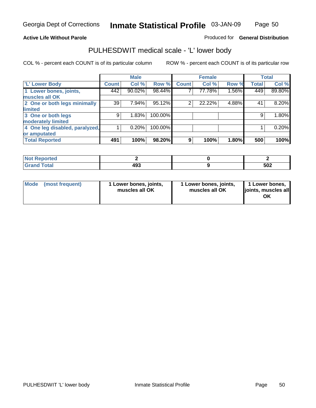Page 50

#### **Active Life Without Parole**

Produced for **General Distribution**

### PULHESDWIT medical scale - 'L' lower body

|                                |              | <b>Male</b> |         |                | <b>Female</b> |       |              | <b>Total</b> |
|--------------------------------|--------------|-------------|---------|----------------|---------------|-------|--------------|--------------|
| <b>L' Lower Body</b>           | <b>Count</b> | Col %       | Row %   | <b>Count</b>   | Col %         | Row % | <b>Total</b> | Col %        |
| 1 Lower bones, joints,         | 442          | 90.02%      | 98.44%  |                | 77.78%        | 1.56% | 449          | 89.80%       |
| muscles all OK                 |              |             |         |                |               |       |              |              |
| 2 One or both legs minimally   | 39           | 7.94%       | 95.12%  | $\overline{2}$ | 22.22%        | 4.88% | 41           | 8.20%        |
| limited                        |              |             |         |                |               |       |              |              |
| 3 One or both legs             | 9            | 1.83%       | 100.00% |                |               |       | 9            | 1.80%        |
| moderately limited             |              |             |         |                |               |       |              |              |
| 4 One leg disabled, paralyzed, |              | 0.20%       | 100.00% |                |               |       |              | 0.20%        |
| or amputated                   |              |             |         |                |               |       |              |              |
| <b>Total Reported</b>          | 491          | 100%        | 98.20%  | 9              | 100%          | 1.80% | 500          | 100%         |

| <b>rted</b><br>N                            |                    |     |
|---------------------------------------------|--------------------|-----|
| $f$ $f$ $f$ $f$ $f$ $f$ $f$<br><b>TULAI</b> | ៱៱៱<br>71 U<br>193 | 502 |

|  | Mode (most frequent) | 1 Lower bones, joints,<br>muscles all OK | 1 Lower bones, joints,<br>muscles all OK | 1 Lower bones,<br>joints, muscles all<br>OK |
|--|----------------------|------------------------------------------|------------------------------------------|---------------------------------------------|
|--|----------------------|------------------------------------------|------------------------------------------|---------------------------------------------|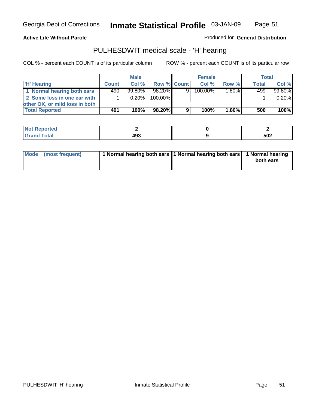Page 51

#### **Active Life Without Parole**

Produced for **General Distribution**

### PULHESDWIT medical scale - 'H' hearing

|                                |              | <b>Male</b> |             |   | <b>Female</b> |          | Total        |        |
|--------------------------------|--------------|-------------|-------------|---|---------------|----------|--------------|--------|
| 'H' Hearing                    | <b>Count</b> | Col%        | Row % Count |   | Col%          | Row %    | <b>Total</b> | Col %  |
| 1 Normal hearing both ears     | 4901         | $99.80\%$   | 98.20%      | 9 | 100.00%       | 1.80%    | 499          | 99.80% |
| 2 Some loss in one ear with    |              | $0.20\%$    | 100.00%     |   |               |          |              | 0.20%  |
| other OK, or mild loss in both |              |             |             |   |               |          |              |        |
| <b>Total Reported</b>          | 491          | 100%        | 98.20%      | 9 | 100%          | $1.80\%$ | 500          | 100%   |

| тео  |           |     |
|------|-----------|-----|
| ---- | .<br>$ -$ | 502 |

| Mode (most frequent) | 1 Normal hearing both ears 11 Normal hearing both ears 1 Normal hearing | both ears |
|----------------------|-------------------------------------------------------------------------|-----------|
|                      |                                                                         |           |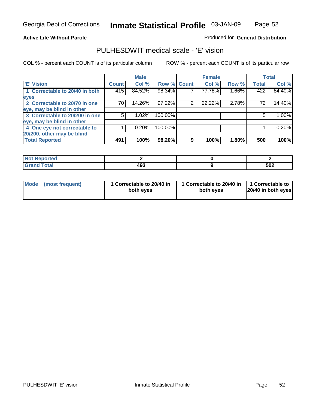Page 52

#### **Active Life Without Parole**

#### Produced for **General Distribution**

### PULHESDWIT medical scale - 'E' vision

|                                |       | <b>Male</b> |             |   | <b>Female</b> |       |              | <b>Total</b> |
|--------------------------------|-------|-------------|-------------|---|---------------|-------|--------------|--------------|
| <b>E' Vision</b>               | Count | Col %       | Row % Count |   | Col %         | Row % | <b>Total</b> | Col %        |
| 1 Correctable to 20/40 in both | 415   | 84.52%      | 98.34%      |   | 77.78%        | 1.66% | 422          | 84.40%       |
| eyes                           |       |             |             |   |               |       |              |              |
| 2 Correctable to 20/70 in one  | 70    | 14.26%      | 97.22%      | 2 | 22.22%        | 2.78% | 72           | 14.40%       |
| eye, may be blind in other     |       |             |             |   |               |       |              |              |
| 3 Correctable to 20/200 in one | 5     | $1.02\%$    | 100.00%     |   |               |       | 5            | 1.00%        |
| eye, may be blind in other     |       |             |             |   |               |       |              |              |
| 4 One eye not correctable to   |       | 0.20%       | 100.00%     |   |               |       |              | 0.20%        |
| 20/200, other may be blind     |       |             |             |   |               |       |              |              |
| <b>Total Reported</b>          | 491   | 100%        | 98.20%      | 9 | 100%          | 1.80% | 500          | 100%         |

| <b>Not Reported</b>            |            |     |
|--------------------------------|------------|-----|
| <b>Total</b><br><b>Company</b> | ده.<br>493 | 502 |

| Mode (most frequent) | 1 Correctable to 20/40 in<br>both eves | 1 Correctable to 20/40 in   1 Correctable to  <br>both eves | 20/40 in both eyes |
|----------------------|----------------------------------------|-------------------------------------------------------------|--------------------|
|----------------------|----------------------------------------|-------------------------------------------------------------|--------------------|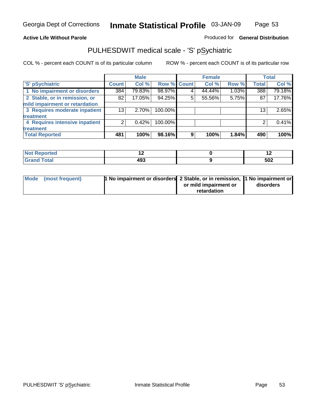**Active Life Without Parole** 

Produced for **General Distribution**

### PULHESDWIT medical scale - 'S' pSychiatric

|                                |              | <b>Male</b> |             |   | <b>Female</b> |       |              | <b>Total</b> |
|--------------------------------|--------------|-------------|-------------|---|---------------|-------|--------------|--------------|
| 'S' pSychiatric                | <b>Count</b> | Col %       | Row % Count |   | Col %         | Row % | <b>Total</b> | Col %        |
| 1 No impairment or disorders   | 384          | 79.83%      | 98.97%      |   | 44.44%        | 1.03% | 388          | 79.18%       |
| 2 Stable, or in remission, or  | 82           | 17.05%      | 94.25%      | 5 | 55.56%        | 5.75% | 87           | 17.76%       |
| mild impairment or retardation |              |             |             |   |               |       |              |              |
| 3 Requires moderate inpatient  | 13           | $2.70\%$    | 100.00%     |   |               |       | 13           | 2.65%        |
| treatment                      |              |             |             |   |               |       |              |              |
| 4 Requires intensive inpatient |              | 0.42%       | 100.00%     |   |               |       |              | 0.41%        |
| treatment                      |              |             |             |   |               |       |              |              |
| <b>Total Reported</b>          | 481          | 100%        | 98.16%      | 9 | 100%          | 1.84% | 490          | 100%         |

| prieo       |            |     |
|-------------|------------|-----|
| <b>otal</b> | ,,,<br>493 | 502 |

| Mode (most frequent) | 1 No impairment or disorders 2 Stable, or in remission, 11 No impairment or |                       |           |
|----------------------|-----------------------------------------------------------------------------|-----------------------|-----------|
|                      |                                                                             | or mild impairment or | disorders |
|                      |                                                                             | retardation           |           |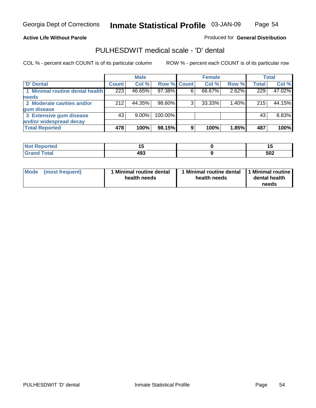Page 54

#### **Active Life Without Parole**

Produced for **General Distribution**

### PULHESDWIT medical scale - 'D' dental

|                                 |       | <b>Male</b> |             |   | <b>Female</b> |       |              | <b>Total</b> |
|---------------------------------|-------|-------------|-------------|---|---------------|-------|--------------|--------------|
| <b>D'</b> Dental                | Count | Col %       | Row % Count |   | Col %         | Row % | <b>Total</b> | Col %        |
| 1 Minimal routine dental health | 223   | 46.65%      | 97.38%      |   | 66.67%        | 2.62% | 229          | 47.02%       |
| <b>needs</b>                    |       |             |             |   |               |       |              |              |
| 2 Moderate cavities and/or      | 212   | 44.35%      | 98.60%      |   | 33.33%        | 1.40% | 215          | 44.15%       |
| gum disease                     |       |             |             |   |               |       |              |              |
| 3 Extensive gum disease         | 43    | $9.00\%$    | 100.00%     |   |               |       | 43           | 8.83%        |
| and/or widespread decay         |       |             |             |   |               |       |              |              |
| <b>Total Reported</b>           | 478   | 100%        | 98.15%      | 9 | 100%          | 1.85% | 487          | 100%         |

| <b><i>College Address</i></b><br>тео<br>N | . .<br>$-$ |     |
|-------------------------------------------|------------|-----|
| ______                                    | 493<br>__  | 502 |

| Mode (most frequent) | <b>Minimal routine dental</b><br>health needs | 1 Minimal routine dental<br>health needs | 1 Minimal routine<br>dental health<br>needs |
|----------------------|-----------------------------------------------|------------------------------------------|---------------------------------------------|
|----------------------|-----------------------------------------------|------------------------------------------|---------------------------------------------|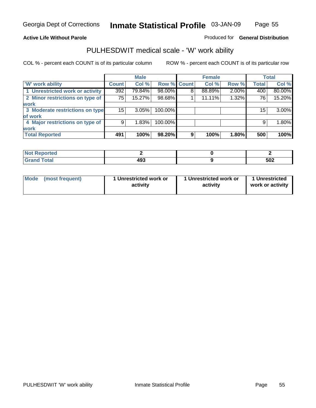**Active Life Without Parole** 

Produced for **General Distribution**

### PULHESDWIT medical scale - 'W' work ability

|                                 |                 | <b>Male</b> |                    |   | <b>Female</b> |       |              | <b>Total</b> |
|---------------------------------|-----------------|-------------|--------------------|---|---------------|-------|--------------|--------------|
| <b>W' work ability</b>          | <b>Count</b>    | Col %       | <b>Row % Count</b> |   | Col %         | Row % | <b>Total</b> | Col %        |
| 1 Unrestricted work or activity | 392             | 79.84%      | 98.00%             | 8 | 88.89%        | 2.00% | 400          | 80.00%       |
| 2 Minor restrictions on type of | 75              | 15.27%      | 98.68%             |   | 11.11%        | 1.32% | 76           | 15.20%       |
| <b>work</b>                     |                 |             |                    |   |               |       |              |              |
| 3 Moderate restrictions on type | 15 <sup>1</sup> | $3.05\%$    | 100.00%            |   |               |       | 15           | 3.00%        |
| of work                         |                 |             |                    |   |               |       |              |              |
| 4 Major restrictions on type of | 9               | 1.83%       | 100.00%            |   |               |       | 9            | 1.80%        |
| <b>work</b>                     |                 |             |                    |   |               |       |              |              |
| <b>Total Reported</b>           | 491             | 100%        | 98.20%             | 9 | 100%          | 1.80% | 500          | 100%         |

| <b>'eported</b> |            |     |
|-----------------|------------|-----|
| <b>i</b> otal   | ,,,<br>493 | 502 |

| Mode | (most frequent) | 1 Unrestricted work or<br>activity | 1 Unrestricted work or<br>activity | 1 Unrestricted<br>work or activity |  |
|------|-----------------|------------------------------------|------------------------------------|------------------------------------|--|
|      |                 |                                    |                                    |                                    |  |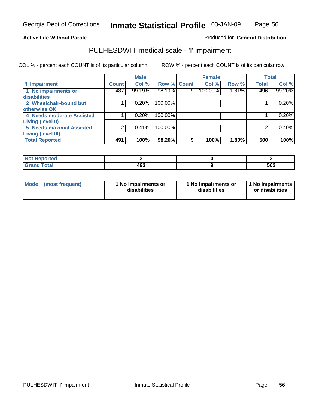Page 56

### **Active Life Without Parole**

### Produced for **General Distribution**

### PULHESDWIT medical scale - 'I' impairment

|                                     |              | <b>Male</b> |             |   | <b>Female</b> |       |              | <b>Total</b> |
|-------------------------------------|--------------|-------------|-------------|---|---------------|-------|--------------|--------------|
| <b>T' Impairment</b>                | <b>Count</b> | Col %       | Row % Count |   | Col %         | Row % | <b>Total</b> | Col %        |
| 1 No impairments or<br>disabilities | 487          | 99.19%      | 98.19%      | 9 | 100.00%       | 1.81% | 496          | 99.20%       |
| 2 Wheelchair-bound but              |              | 0.20%       | 100.00%     |   |               |       |              | 0.20%        |
| otherwise OK                        |              |             |             |   |               |       |              |              |
| 4 Needs moderate Assisted           |              | 0.20%       | 100.00%     |   |               |       |              | 0.20%        |
| Living (level II)                   |              |             |             |   |               |       |              |              |
| <b>5 Needs maximal Assisted</b>     |              | 0.41%       | 100.00%     |   |               |       |              | 0.40%        |
| <b>Living (level III)</b>           |              |             |             |   |               |       |              |              |
| <b>Total Reported</b>               | 491          | 100%        | 98.20%      | 9 | 100%          | 1.80% | 500          | 100%         |

| rtea                  |     |               |
|-----------------------|-----|---------------|
| <b>otal</b><br>$\sim$ | 493 | E N.Q<br>ິບບ∠ |

| Mode            | 1 No impairments or | 1 No impairments or | 1 No impairments |
|-----------------|---------------------|---------------------|------------------|
| (most frequent) | disabilities        | disabilities        | or disabilities  |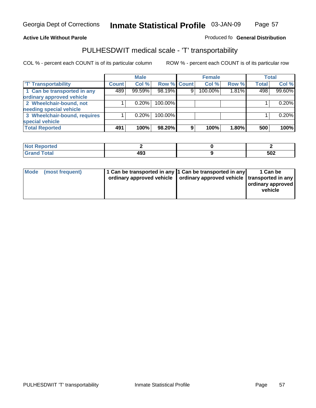#### **Inmate Statistical Profile** 03-JAN-09 Page Page 57

### **Active Life Without Parole Produced fo Seneral Distribution**

### PULHESDWIT medical scale - 'T' transportability

|                              |              | <b>Male</b> |                    |   | <b>Female</b> |          |              | <b>Total</b> |
|------------------------------|--------------|-------------|--------------------|---|---------------|----------|--------------|--------------|
| <b>T' Transportability</b>   | <b>Count</b> | Col %       | <b>Row % Count</b> |   | Col %         | Row %    | <b>Total</b> | Col %        |
| 1 Can be transported in any  | 489          | 99.59%      | 98.19%             | 9 | 100.00%       | $1.81\%$ | 498          | 99.60%       |
| ordinary approved vehicle    |              |             |                    |   |               |          |              |              |
| 2 Wheelchair-bound, not      |              | 0.20%       | 100.00%            |   |               |          |              | 0.20%        |
| needing special vehicle      |              |             |                    |   |               |          |              |              |
| 3 Wheelchair-bound, requires |              | 0.20%       | 100.00%            |   |               |          |              | 0.20%        |
| special vehicle              |              |             |                    |   |               |          |              |              |
| <b>Total Reported</b>        | 491          | 100%        | 98.20%             | 9 | 100%          | 1.80%    | 500          | 100%         |

| <b>Reported</b><br><b>NOT</b> |           |            |
|-------------------------------|-----------|------------|
| <b>c</b> otal                 | 493<br>__ | БЛЛ<br>◡◡▵ |

| Mode (most frequent) | 1 Can be transported in any 1 Can be transported in any | ordinary approved vehicle   ordinary approved vehicle   transported in any | 1 Can be<br>  ordinary approved  <br>vehicle |
|----------------------|---------------------------------------------------------|----------------------------------------------------------------------------|----------------------------------------------|
|----------------------|---------------------------------------------------------|----------------------------------------------------------------------------|----------------------------------------------|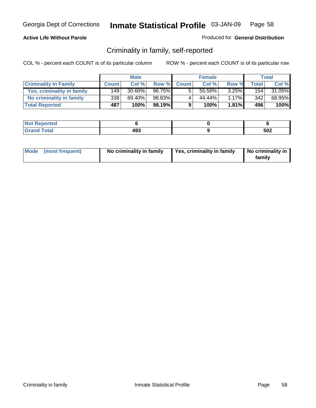#### **Active Life Without Parole**

#### Produced for **General Distribution**

### Criminality in family, self-reported

|                              |              | <b>Male</b> |        |              | <b>Female</b> |          |                  | Total  |
|------------------------------|--------------|-------------|--------|--------------|---------------|----------|------------------|--------|
| <b>Criminality In Family</b> | <b>Count</b> | Col %       | Row %  | <b>Count</b> | Col %         | Row %    | Total            | Col %  |
| Yes, criminality in family   | 149          | $30.60\%$   | 96.75% | 5            | 55.56%        | $3.25\%$ | 154              | 31.05% |
| No criminality in family     | 338          | 69.40%      | 98.83% | 4            | 44.44%        | $1.17\%$ | 342 <sub>1</sub> | 68.95% |
| <b>Total Reported</b>        | 487          | 100%        | 98.19% | 9            | 100%          | $1.81\%$ | 496              | 100%   |

| <b>Not Reported</b> |           |     |
|---------------------|-----------|-----|
| Total<br>'Grant     | 493<br>__ | 502 |

| Mode (most frequent) | No criminality in family | Yes, criminality in family | No criminality in<br>family |
|----------------------|--------------------------|----------------------------|-----------------------------|
|----------------------|--------------------------|----------------------------|-----------------------------|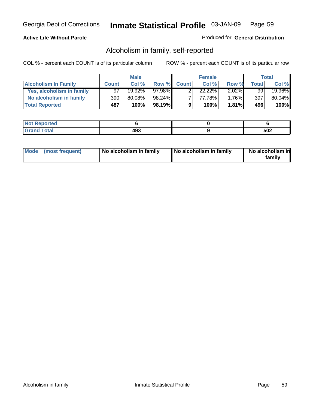#### **Active Life Without Parole**

#### Produced for **General Distribution**

### Alcoholism in family, self-reported

|                             |              | <b>Male</b> |        |              | <b>Female</b> |          |       | Total  |
|-----------------------------|--------------|-------------|--------|--------------|---------------|----------|-------|--------|
| <b>Alcoholism In Family</b> | <b>Count</b> | Col %       | Row %  | <b>Count</b> | Col %         | Row %    | Total | Col %  |
| Yes, alcoholism in family   | 97           | $19.92\%$   | 97.98% |              | $22.22\%$     | $2.02\%$ | 99    | 19.96% |
| No alcoholism in family     | 390          | 80.08%      | 98.24% |              | 77.78%        | $1.76\%$ | 397   | 80.04% |
| <b>Total Reported</b>       | 487          | 100%        | 98.19% | 9            | 100%          | $1.81\%$ | 496   | 100%   |

| <b>Not</b><br>oorted<br>יסרו. |     |     |
|-------------------------------|-----|-----|
| hat<br>Gran<br>--             | 493 | 502 |

|  | Mode (most frequent) | No alcoholism in family | No alcoholism in family | No alcoholism in<br>familv |
|--|----------------------|-------------------------|-------------------------|----------------------------|
|--|----------------------|-------------------------|-------------------------|----------------------------|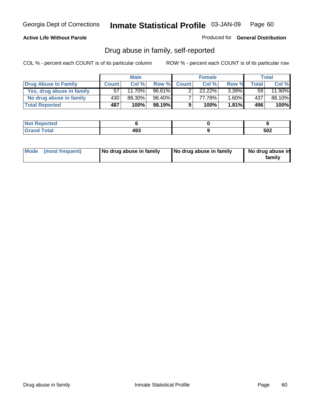#### **Active Life Without Parole**

Produced for **General Distribution**

### Drug abuse in family, self-reported

|                           |              | <b>Male</b> |        |              | <b>Female</b> |          |              | Total  |
|---------------------------|--------------|-------------|--------|--------------|---------------|----------|--------------|--------|
| Drug Abuse In Family      | <b>Count</b> | Col %       | Row %  | <b>Count</b> | Col %         | Row %    | <b>Total</b> | Col %  |
| Yes, drug abuse in family | 57           | 11.70%      | 96.61% |              | $22.22\%$     | $3.39\%$ | 59           | 11.90% |
| No drug abuse in family   | 430          | 88.30%      | 98.40% | –            | 77.78%        | $.60\%$  | 437'         | 88.10% |
| <b>Total Reported</b>     | 487          | 100%        | 98.19% | 9            | 100%          | $1.81\%$ | 496          | 100%   |

| <b>Not</b><br>oorted<br>יסרו. |     |     |
|-------------------------------|-----|-----|
| hat<br>Gran<br>--             | 493 | 502 |

|  | Mode (most frequent) | No drug abuse in family | No drug abuse in family | No drug abuse in<br>family |
|--|----------------------|-------------------------|-------------------------|----------------------------|
|--|----------------------|-------------------------|-------------------------|----------------------------|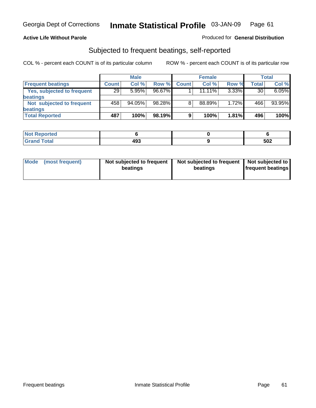#### **Active Life Without Parole**

#### Produced for **General Distribution**

### Subjected to frequent beatings, self-reported

|                            |              | <b>Male</b> |        |              | <b>Female</b> |          |       | <b>Total</b> |
|----------------------------|--------------|-------------|--------|--------------|---------------|----------|-------|--------------|
| <b>Frequent beatings</b>   | <b>Count</b> | Col%        | Row %  | <b>Count</b> | Col%          | Row %    | Total | Col %        |
| Yes, subjected to frequent | 29           | 5.95%       | 96.67% |              | $11.11\%$     | $3.33\%$ | 30    | 6.05%        |
| beatings                   |              |             |        |              |               |          |       |              |
| Not subjected to frequent  | 458'         | $94.05\%$   | 98.28% | 8            | 88.89%        | 1.72%    | 466   | 93.95%       |
| beatings                   |              |             |        |              |               |          |       |              |
| <b>Total Reported</b>      | 487          | 100%        | 98.19% | 9            | 100%          | 1.81%    | 496   | 100%         |

| Not Reported         |     |     |
|----------------------|-----|-----|
| <b>Total</b><br>Cron | 493 | 502 |

| Mode (most frequent) | Not subjected to frequent<br>beatings | Not subjected to frequent<br>beatings | Not subjected to<br><b>frequent beatings</b> |  |
|----------------------|---------------------------------------|---------------------------------------|----------------------------------------------|--|
|                      |                                       |                                       |                                              |  |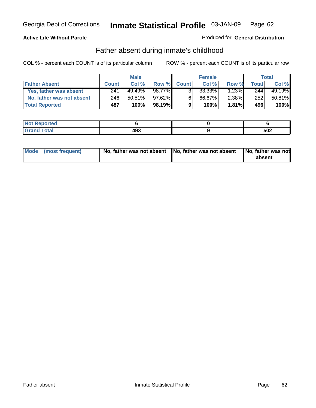#### **Active Life Without Parole**

#### Produced for **General Distribution**

### Father absent during inmate's childhood

|                           |              | <b>Male</b> |           |              | <b>Female</b> |          |       | Total  |
|---------------------------|--------------|-------------|-----------|--------------|---------------|----------|-------|--------|
| <b>Father Absent</b>      | <b>Count</b> | Col %       | Row %     | <b>Count</b> | Col %         | Row %    | Total | Col %  |
| Yes, father was absent    | 241          | 49.49%      | 98.77%    | 3.           | 33.33%        | 1.23%    | 244   | 49.19% |
| No, father was not absent | 246          | $50.51\%$   | $97.62\%$ | 6            | 66.67%        | $2.38\%$ | 252   | 50.81% |
| <b>Total Reported</b>     | 487          | 100%        | 98.19%    | 9            | 100%          | $1.81\%$ | 496   | 100%   |

| ported<br><b>NOT</b><br>$\sim 1721$ |            |     |
|-------------------------------------|------------|-----|
| $\sim$<br>Grar<br>--                | 400<br>493 | 502 |

| Mode (most frequent) | No, father was not absent No, father was not absent | No, father was not<br>absent |
|----------------------|-----------------------------------------------------|------------------------------|
|----------------------|-----------------------------------------------------|------------------------------|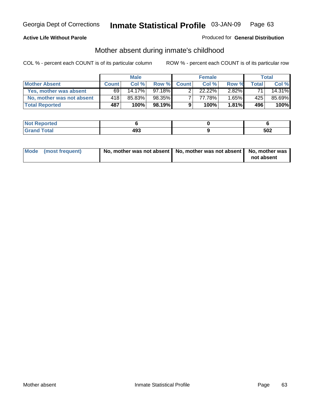#### **Active Life Without Parole**

#### Produced for **General Distribution**

## Mother absent during inmate's childhood

|                           |              | <b>Male</b> |        |              | <b>Female</b>        |          |       | Total  |
|---------------------------|--------------|-------------|--------|--------------|----------------------|----------|-------|--------|
| <b>Mother Absent</b>      | <b>Count</b> | Col %       | Row %  | <b>Count</b> | Col%                 | Row %    | Total | Col %  |
| Yes, mother was absent    | 69           | 14.17%      | 97.18% |              | $22.\overline{22\%}$ | $2.82\%$ | 71.   | 14.31% |
| No, mother was not absent | 418          | 85.83%      | 98.35% |              | 77.78%               | $1.65\%$ | 425'  | 85.69% |
| <b>Total Reported</b>     | 487          | 100%        | 98.19% | 9            | 100%                 | $1.81\%$ | 496   | 100%   |

| ported<br><b>NOT</b><br>$\sim 1721$ |            |     |
|-------------------------------------|------------|-----|
| $\sim$<br>Grar<br>--                | 400<br>493 | 502 |

| Mode (most frequent) | No, mother was not absent   No, mother was not absent   No, mother was | not absent |
|----------------------|------------------------------------------------------------------------|------------|
|----------------------|------------------------------------------------------------------------|------------|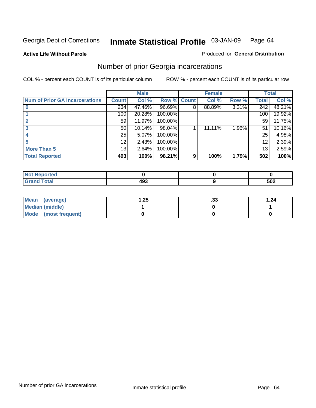**Active Life Without Parole** 

#### Produced for **General Distribution**

### Number of prior Georgia incarcerations

|                                       |                 | <b>Male</b> |                    |   | <b>Female</b> |       |       | <b>Total</b> |
|---------------------------------------|-----------------|-------------|--------------------|---|---------------|-------|-------|--------------|
| <b>Num of Prior GA Incarcerations</b> | <b>Count</b>    | Col %       | <b>Row % Count</b> |   | Col %         | Row % | Total | Col %        |
|                                       | 234             | 47.46%      | 96.69%             | 8 | 88.89%        | 3.31% | 242   | 48.21%       |
|                                       | 100             | 20.28%      | 100.00%            |   |               |       | 100   | 19.92%       |
|                                       | 59 <sub>1</sub> | 11.97%      | 100.00%            |   |               |       | 59    | 11.75%       |
|                                       | 50              | 10.14%      | 98.04%             |   | 11.11%        | 1.96% | 51    | 10.16%       |
|                                       | 25              | 5.07%       | 100.00%            |   |               |       | 25    | 4.98%        |
|                                       | 12              | 2.43%       | 100.00%            |   |               |       | 12    | 2.39%        |
| <b>More Than 5</b>                    | 13              | 2.64%       | 100.00%            |   |               |       | 13    | 2.59%        |
| <b>Total Reported</b>                 | 493             | 100%        | 98.21%             | 9 | 100%          | 1.79% | 502   | 100%         |

| <b>Reported</b><br><b>NOT</b><br> |     |     |  |
|-----------------------------------|-----|-----|--|
| <b>otal</b>                       | י ה | 502 |  |

| Mean (average)       | .25 | . JJ | 1.24 |
|----------------------|-----|------|------|
| Median (middle)      |     |      |      |
| Mode (most frequent) |     |      |      |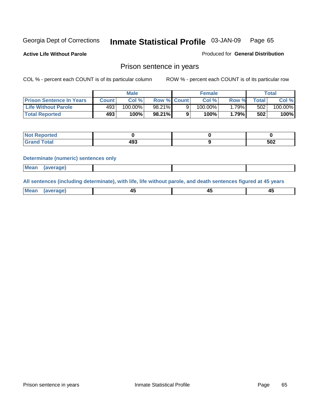**Active Life Without Parole** 

Produced for **General Distribution**

### Prison sentence in years

COL % - percent each COUNT is of its particular column ROW % - percent each COUNT is of its particular row

|                                 | <b>Male</b>  |            |                    | <b>Female</b> | Total        |             |         |
|---------------------------------|--------------|------------|--------------------|---------------|--------------|-------------|---------|
| <b>Prison Sentence In Years</b> | <b>Count</b> | Col %      | <b>Row % Count</b> | Col %         | Row %        | $\tau$ otal | Col %   |
| <b>Life Without Parole</b>      | 493'         | $100.00\%$ | 98.21%             | 100.00%       | 79% <b>I</b> | 502         | 100.00% |
| <b>Total Reported</b>           | 493          | 100%       | 98.21%             | 100%          | 1.79%        | 502         | 100%    |

| <b>eported</b>                   |                 |     |
|----------------------------------|-----------------|-----|
| <b>Total</b><br>$\mathsf{v}$ and | ---<br>œ<br>493 | 502 |

#### **Determinate (numeric) sentences only**

| <b>Mean</b> | <i>(average)</i> |  |  |
|-------------|------------------|--|--|

**All sentences (including determinate), with life, life without parole, and death sentences figured at 45 years**

| <b>Me</b><br>בוחו<br>.<br>. <b>. </b> . | т.<br>$\sim$ | __<br>$\sim$ |  |
|-----------------------------------------|--------------|--------------|--|
|-----------------------------------------|--------------|--------------|--|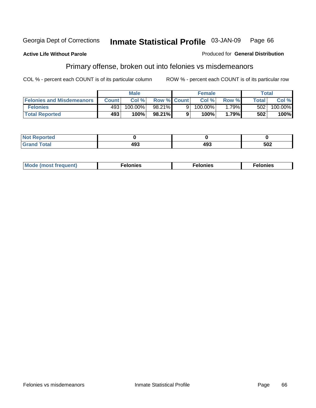#### **Active Life Without Parole**

#### Produced for **General Distribution**

### Primary offense, broken out into felonies vs misdemeanors

|                                  | <b>Male</b>  |         |                    |   | <b>Female</b> | Total |              |            |
|----------------------------------|--------------|---------|--------------------|---|---------------|-------|--------------|------------|
| <b>Felonies and Misdemeanors</b> | <b>Count</b> | Col%    | <b>Row % Count</b> |   | Col%          | Row % | <b>Total</b> | Col %      |
| <b>Felonies</b>                  | 493          | 100.00% | 98.21%             | 9 | 100.00%       | .79%  | 502          | $100.00\%$ |
| <b>Total Reported</b>            | 493          | 100%    | 98.21%I            |   | 100%          | 1.79% | 502          | 100%       |

| <b>Not</b><br><b>orted</b><br>⋯ |            |     |     |
|---------------------------------|------------|-----|-----|
| Grat<br>-----                   | ,,,<br>193 | 493 | 502 |

| M<br>$\cdots$<br>пю.<br>. | nies<br>. | . |
|---------------------------|-----------|---|
|---------------------------|-----------|---|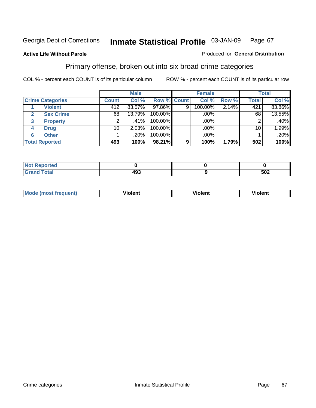#### **Active Life Without Parole**

#### Produced for **General Distribution**

### Primary offense, broken out into six broad crime categories

|                         | <b>Male</b>  |        |                    | <b>Female</b> |         |       | <b>Total</b> |         |  |
|-------------------------|--------------|--------|--------------------|---------------|---------|-------|--------------|---------|--|
| <b>Crime Categories</b> | <b>Count</b> | Col %  | <b>Row % Count</b> |               | Col %   | Row % | <b>Total</b> | Col %   |  |
| <b>Violent</b>          | 412          | 83.57% | 97.86%             | 9             | 100.00% | 2.14% | 421          | 83.86%  |  |
| <b>Sex Crime</b>        | 68           | 13.79% | 100.00%            |               | .00%    |       | 68           | 13.55%  |  |
| 3<br><b>Property</b>    | 2            | .41%   | 100.00%            |               | .00%    |       |              | $.40\%$ |  |
| <b>Drug</b><br>4        | 10           | 2.03%  | 100.00%            |               | .00%    |       | 10           | 1.99%   |  |
| <b>Other</b><br>6       |              | .20%   | 100.00%            |               | .00%    |       |              | .20%    |  |
| <b>Total Reported</b>   | 493          | 100%   | 98.21%             | 9             | 100%    | 1.79% | 502          | 100%    |  |

| <b>Reported</b><br>$\sim$      |     |     |
|--------------------------------|-----|-----|
| <b>Total</b><br><b>U</b> ldliu | 493 | 502 |

| Mo | n n | winlor" | ılen' |
|----|-----|---------|-------|
|    |     |         |       |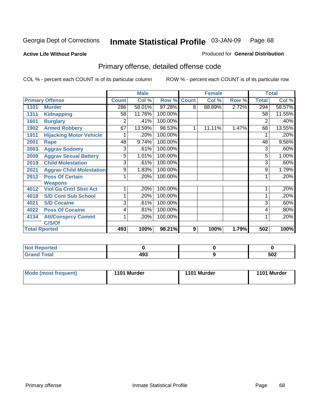#### **Active Life Without Parole**

#### Produced for **General Distribution**

### Primary offense, detailed offense code

|      |                                 |              | <b>Male</b> |         |              | <b>Female</b> |       |              | <b>Total</b> |
|------|---------------------------------|--------------|-------------|---------|--------------|---------------|-------|--------------|--------------|
|      | <b>Primary Offense</b>          | <b>Count</b> | Col %       | Row %   | <b>Count</b> | Col %         | Row % | <b>Total</b> | Col %        |
| 1101 | <b>Murder</b>                   | 286          | 58.01%      | 97.28%  | 8            | 88.89%        | 2.72% | 294          | 58.57%       |
| 1311 | <b>Kidnapping</b>               | 58           | 11.76%      | 100.00% |              |               |       | 58           | 11.55%       |
| 1601 | <b>Burglary</b>                 | 2            | .41%        | 100.00% |              |               |       | 2            | .40%         |
| 1902 | <b>Armed Robbery</b>            | 67           | 13.59%      | 98.53%  | 1            | 11.11%        | 1.47% | 68           | 13.55%       |
| 1911 | <b>Hijacking Motor Vehicle</b>  |              | .20%        | 100.00% |              |               |       |              | .20%         |
| 2001 | Rape                            | 48           | 9.74%       | 100.00% |              |               |       | 48           | 9.56%        |
| 2003 | <b>Aggrav Sodomy</b>            | 3            | .61%        | 100.00% |              |               |       | 3            | .60%         |
| 2009 | <b>Aggrav Sexual Battery</b>    | 5            | 1.01%       | 100.00% |              |               |       | 5            | 1.00%        |
| 2019 | <b>Child Molestation</b>        | 3            | .61%        | 100.00% |              |               |       | 3            | .60%         |
| 2021 | <b>Aggrav Child Molestation</b> | 9            | 1.83%       | 100.00% |              |               |       | 9            | 1.79%        |
| 2912 | <b>Poss Of Certain</b>          |              | .20%        | 100.00% |              |               |       |              | .20%         |
|      | <b>Weapons</b>                  |              |             |         |              |               |       |              |              |
| 4012 | <b>Viol Ga Cntrl Sbst Act</b>   |              | .20%        | 100.00% |              |               |       |              | .20%         |
| 4018 | <b>S/D Cont Sub School</b>      |              | .20%        | 100.00% |              |               |       |              | .20%         |
| 4021 | <b>S/D Cocaine</b>              | 3            | .61%        | 100.00% |              |               |       | 3            | .60%         |
| 4022 | <b>Poss Of Cocaine</b>          | 4            | .81%        | 100.00% |              |               |       | 4            | .80%         |
| 4134 | <b>Att/Consprcy Commt</b>       | 1            | .20%        | 100.00% |              |               |       |              | .20%         |
|      | C/S/Of                          |              |             |         |              |               |       |              |              |
|      | <b>Total Rported</b>            | 493          | 100%        | 98.21%  | 9            | 100%          | 1.79% | 502          | 100%         |

| <b>Not Reported</b> |     |     |
|---------------------|-----|-----|
| <b>Total</b>        | 493 | 502 |

| Mode (most frequent) | 1101 Murder | 1101 Murder | 1101 Murder |
|----------------------|-------------|-------------|-------------|
|----------------------|-------------|-------------|-------------|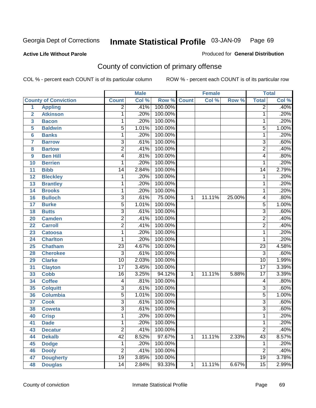#### **Active Life Without Parole**

#### Produced for **General Distribution**

### County of conviction of primary offense

|                         |                             |                 | <b>Male</b> |         |                | <b>Female</b> |        |                 | <b>Total</b>               |
|-------------------------|-----------------------------|-----------------|-------------|---------|----------------|---------------|--------|-----------------|----------------------------|
|                         | <b>County of Conviction</b> | <b>Count</b>    | Col %       | Row %   | <b>Count</b>   | Col %         | Row %  | <b>Total</b>    | $\overline{\text{Col }\%}$ |
| 1                       | <b>Appling</b>              | $\overline{2}$  | .41%        | 100.00% |                |               |        | $\overline{2}$  | .40%                       |
| $\overline{2}$          | <b>Atkinson</b>             | 1               | .20%        | 100.00% |                |               |        | 1               | .20%                       |
| $\overline{\mathbf{3}}$ | <b>Bacon</b>                | 1               | .20%        | 100.00% |                |               |        | $\mathbf{1}$    | .20%                       |
| 5                       | <b>Baldwin</b>              | $\overline{5}$  | 1.01%       | 100.00% |                |               |        | $\overline{5}$  | 1.00%                      |
| 6                       | <b>Banks</b>                | 1               | .20%        | 100.00% |                |               |        | 1               | .20%                       |
| $\overline{\mathbf{7}}$ | <b>Barrow</b>               | $\overline{3}$  | .61%        | 100.00% |                |               |        | $\overline{3}$  | .60%                       |
| 8                       | <b>Bartow</b>               | $\overline{2}$  | .41%        | 100.00% |                |               |        | $\overline{2}$  | .40%                       |
| 9                       | <b>Ben Hill</b>             | $\overline{4}$  | .81%        | 100.00% |                |               |        | 4               | .80%                       |
| 10                      | <b>Berrien</b>              | 1               | .20%        | 100.00% |                |               |        | 1               | .20%                       |
| 11                      | <b>Bibb</b>                 | $\overline{14}$ | 2.84%       | 100.00% |                |               |        | $\overline{14}$ | 2.79%                      |
| 12                      | <b>Bleckley</b>             | 1               | .20%        | 100.00% |                |               |        | $\mathbf 1$     | .20%                       |
| 13                      | <b>Brantley</b>             | 1               | .20%        | 100.00% |                |               |        | $\mathbf{1}$    | .20%                       |
| 14                      | <b>Brooks</b>               | 1               | .20%        | 100.00% |                |               |        | $\mathbf{1}$    | .20%                       |
| 16                      | <b>Bulloch</b>              | $\overline{3}$  | .61%        | 75.00%  | 1              | 11.11%        | 25.00% | 4               | .80%                       |
| 17                      | <b>Burke</b>                | $\overline{5}$  | 1.01%       | 100.00% |                |               |        | $\overline{5}$  | 1.00%                      |
| 18                      | <b>Butts</b>                | $\overline{3}$  | .61%        | 100.00% |                |               |        | $\overline{3}$  | .60%                       |
| 20                      | <b>Camden</b>               | $\overline{2}$  | .41%        | 100.00% |                |               |        | $\overline{2}$  | .40%                       |
| 22                      | <b>Carroll</b>              | $\overline{2}$  | .41%        | 100.00% |                |               |        | $\overline{2}$  | .40%                       |
| 23                      | <b>Catoosa</b>              | 1               | .20%        | 100.00% |                |               |        | $\mathbf 1$     | .20%                       |
| 24                      | <b>Charlton</b>             | 1               | .20%        | 100.00% |                |               |        | 1               | .20%                       |
| 25                      | <b>Chatham</b>              | $\overline{23}$ | 4.67%       | 100.00% |                |               |        | $\overline{23}$ | 4.58%                      |
| 28                      | <b>Cherokee</b>             | $\overline{3}$  | .61%        | 100.00% |                |               |        | $\overline{3}$  | .60%                       |
| 29                      | <b>Clarke</b>               | $\overline{10}$ | 2.03%       | 100.00% |                |               |        | $\overline{10}$ | 1.99%                      |
| 31                      | <b>Clayton</b>              | $\overline{17}$ | 3.45%       | 100.00% |                |               |        | $\overline{17}$ | 3.39%                      |
| 33                      | <b>Cobb</b>                 | 16              | 3.25%       | 94.12%  | 1              | 11.11%        | 5.88%  | $\overline{17}$ | 3.39%                      |
| 34                      | <b>Coffee</b>               | 4               | .81%        | 100.00% |                |               |        | 4               | .80%                       |
| 35                      | <b>Colquitt</b>             | $\overline{3}$  | .61%        | 100.00% |                |               |        | $\overline{3}$  | .60%                       |
| 36                      | <b>Columbia</b>             | $\overline{5}$  | 1.01%       | 100.00% |                |               |        | $\overline{5}$  | 1.00%                      |
| 37                      | <b>Cook</b>                 | $\overline{3}$  | .61%        | 100.00% |                |               |        | $\overline{3}$  | .60%                       |
| 38                      | <b>Coweta</b>               | $\overline{3}$  | .61%        | 100.00% |                |               |        | $\overline{3}$  | .60%                       |
| 40                      | <b>Crisp</b>                | 1               | .20%        | 100.00% |                |               |        | 1               | .20%                       |
| 41                      | <b>Dade</b>                 | 1               | .20%        | 100.00% |                |               |        | 1               | .20%                       |
| 43                      | <b>Decatur</b>              | $\overline{2}$  | .41%        | 100.00% |                |               |        | $\overline{2}$  | .40%                       |
| 44                      | <b>Dekalb</b>               | $\overline{42}$ | 8.52%       | 97.67%  | $\mathbf{1}$   | 11.11%        | 2.33%  | $\overline{43}$ | 8.57%                      |
| 45                      | <b>Dodge</b>                | 1               | .20%        | 100.00% |                |               |        | 1               | .20%                       |
| 46                      | <b>Dooly</b>                | $\overline{2}$  | .41%        | 100.00% |                |               |        | $\overline{2}$  | .40%                       |
| 47                      | <b>Dougherty</b>            | $\overline{19}$ | 3.85%       | 100.00% |                |               |        | $\overline{19}$ | 3.78%                      |
| 48                      | <b>Douglas</b>              | $\overline{14}$ | 2.84%       | 93.33%  | $\overline{1}$ | 11.11%        | 6.67%  | $\overline{15}$ | 2.99%                      |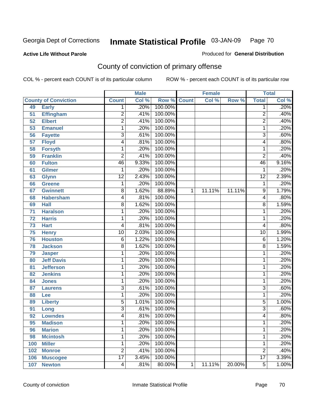#### **Active Life Without Parole**

#### Produced for **General Distribution**

### County of conviction of primary offense

|     |                             |                 | <b>Male</b> |                    | <b>Female</b> |        |        | <b>Total</b>    |       |
|-----|-----------------------------|-----------------|-------------|--------------------|---------------|--------|--------|-----------------|-------|
|     | <b>County of Conviction</b> | <b>Count</b>    | Col %       | <b>Row % Count</b> |               | Col %  | Row %  | <b>Total</b>    | Col % |
| 49  | <b>Early</b>                | 1               | .20%        | 100.00%            |               |        |        | 1               | .20%  |
| 51  | <b>Effingham</b>            | $\overline{c}$  | .41%        | 100.00%            |               |        |        | $\overline{2}$  | .40%  |
| 52  | <b>Elbert</b>               | $\overline{2}$  | .41%        | 100.00%            |               |        |        | $\overline{2}$  | .40%  |
| 53  | <b>Emanuel</b>              | 1               | .20%        | 100.00%            |               |        |        | 1               | .20%  |
| 56  | <b>Fayette</b>              | $\overline{3}$  | .61%        | 100.00%            |               |        |        | $\overline{3}$  | .60%  |
| 57  | <b>Floyd</b>                | 4               | .81%        | 100.00%            |               |        |        | 4               | .80%  |
| 58  | <b>Forsyth</b>              | 1               | .20%        | 100.00%            |               |        |        | 1               | .20%  |
| 59  | <b>Franklin</b>             | $\overline{2}$  | .41%        | 100.00%            |               |        |        | $\overline{2}$  | .40%  |
| 60  | <b>Fulton</b>               | 46              | 9.33%       | 100.00%            |               |        |        | 46              | 9.16% |
| 61  | <b>Gilmer</b>               | 1               | .20%        | 100.00%            |               |        |        | 1               | .20%  |
| 63  | <b>Glynn</b>                | $\overline{12}$ | 2.43%       | 100.00%            |               |        |        | $\overline{12}$ | 2.39% |
| 66  | <b>Greene</b>               | 1               | .20%        | 100.00%            |               |        |        | 1               | .20%  |
| 67  | <b>Gwinnett</b>             | 8               | 1.62%       | 88.89%             | 1             | 11.11% | 11.11% | 9               | 1.79% |
| 68  | <b>Habersham</b>            | 4               | .81%        | 100.00%            |               |        |        | 4               | .80%  |
| 69  | <b>Hall</b>                 | 8               | 1.62%       | 100.00%            |               |        |        | 8               | 1.59% |
| 71  | <b>Haralson</b>             | 1               | .20%        | 100.00%            |               |        |        | 1               | .20%  |
| 72  | <b>Harris</b>               | 1               | .20%        | 100.00%            |               |        |        | 1               | .20%  |
| 73  | <b>Hart</b>                 | 4               | .81%        | 100.00%            |               |        |        | 4               | .80%  |
| 75  | <b>Henry</b>                | $\overline{10}$ | 2.03%       | 100.00%            |               |        |        | 10              | 1.99% |
| 76  | <b>Houston</b>              | 6               | 1.22%       | 100.00%            |               |        |        | 6               | 1.20% |
| 78  | <b>Jackson</b>              | 8               | 1.62%       | 100.00%            |               |        |        | 8               | 1.59% |
| 79  | <b>Jasper</b>               | 1               | .20%        | 100.00%            |               |        |        | 1               | .20%  |
| 80  | <b>Jeff Davis</b>           | 1               | .20%        | 100.00%            |               |        |        | 1               | .20%  |
| 81  | <b>Jefferson</b>            | 1               | .20%        | 100.00%            |               |        |        | 1               | .20%  |
| 82  | <b>Jenkins</b>              | 1               | .20%        | 100.00%            |               |        |        | 1               | .20%  |
| 84  | <b>Jones</b>                | 1               | .20%        | 100.00%            |               |        |        | 1               | .20%  |
| 87  | <b>Laurens</b>              | $\overline{3}$  | .61%        | 100.00%            |               |        |        | 3               | .60%  |
| 88  | Lee                         | 1               | .20%        | 100.00%            |               |        |        | 1               | .20%  |
| 89  | <b>Liberty</b>              | $\overline{5}$  | 1.01%       | 100.00%            |               |        |        | 5               | 1.00% |
| 91  | Long                        | $\overline{3}$  | .61%        | 100.00%            |               |        |        | $\overline{3}$  | .60%  |
| 92  | <b>Lowndes</b>              | 4               | .81%        | 100.00%            |               |        |        | 4               | .80%  |
| 95  | <b>Madison</b>              | 1               | .20%        | 100.00%            |               |        |        | 1               | .20%  |
| 96  | <b>Marion</b>               | 1               | .20%        | 100.00%            |               |        |        | 1               | .20%  |
| 98  | <b>Mcintosh</b>             | 1               | .20%        | 100.00%            |               |        |        | 1               | .20%  |
| 100 | <b>Miller</b>               | 1               | .20%        | 100.00%            |               |        |        | 1               | .20%  |
| 102 | <b>Monroe</b>               | $\overline{2}$  | .41%        | 100.00%            |               |        |        | $\overline{2}$  | .40%  |
| 106 | <b>Muscogee</b>             | $\overline{17}$ | 3.45%       | 100.00%            |               |        |        | $\overline{17}$ | 3.39% |
| 107 | <b>Newton</b>               | 4               | .81%        | 80.00%             | 1             | 11.11% | 20.00% | $\overline{5}$  | 1.00% |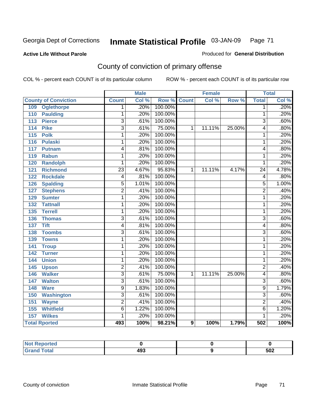#### **Active Life Without Parole**

# Produced for **General Distribution**

### County of conviction of primary offense

|                                   |                           | <b>Male</b> |         |                  | <b>Female</b> |        |                 | <b>Total</b> |
|-----------------------------------|---------------------------|-------------|---------|------------------|---------------|--------|-----------------|--------------|
| <b>County of Conviction</b>       | <b>Count</b>              | Col %       | Row %   | <b>Count</b>     | Col %         | Row %  | <b>Total</b>    | Col %        |
| <b>Oglethorpe</b><br>109          | 1                         | .20%        | 100.00% |                  |               |        | 1               | .20%         |
| 110<br><b>Paulding</b>            | 1                         | .20%        | 100.00% |                  |               |        | 1               | .20%         |
| <b>Pierce</b><br>113              | 3                         | .61%        | 100.00% |                  |               |        | 3               | .60%         |
| <b>Pike</b><br>$\frac{114}{114}$  | $\overline{\mathbf{3}}$   | .61%        | 75.00%  | 1                | 11.11%        | 25.00% | 4               | .80%         |
| $\overline{115}$<br><b>Polk</b>   | 1                         | .20%        | 100.00% |                  |               |        | 1               | .20%         |
| 116<br><b>Pulaski</b>             | 1                         | .20%        | 100.00% |                  |               |        | 1               | .20%         |
| 117<br><b>Putnam</b>              | 4                         | .81%        | 100.00% |                  |               |        | 4               | .80%         |
| <b>Rabun</b><br>119               | 1                         | .20%        | 100.00% |                  |               |        | 1               | .20%         |
| 120<br><b>Randolph</b>            | 1                         | .20%        | 100.00% |                  |               |        | 1               | .20%         |
| <b>Richmond</b><br>121            | $\overline{23}$           | 4.67%       | 95.83%  | 1                | 11.11%        | 4.17%  | $\overline{24}$ | 4.78%        |
| <b>Rockdale</b><br>122            | 4                         | .81%        | 100.00% |                  |               |        | 4               | .80%         |
| 126<br><b>Spalding</b>            | 5                         | 1.01%       | 100.00% |                  |               |        | 5               | 1.00%        |
| <b>Stephens</b><br>127            | $\overline{2}$            | .41%        | 100.00% |                  |               |        | $\overline{2}$  | .40%         |
| 129<br><b>Sumter</b>              | 1                         | .20%        | 100.00% |                  |               |        | $\mathbf{1}$    | .20%         |
| 132<br><b>Tattnall</b>            | 1                         | .20%        | 100.00% |                  |               |        | 1               | .20%         |
| <b>Terrell</b><br>135             | 1                         | .20%        | 100.00% |                  |               |        | 1               | .20%         |
| 136<br><b>Thomas</b>              | $\overline{\overline{3}}$ | .61%        | 100.00% |                  |               |        | $\overline{3}$  | .60%         |
| <b>Tift</b><br>137                | 4                         | .81%        | 100.00% |                  |               |        | 4               | .80%         |
| <b>Toombs</b><br>138              | $\overline{3}$            | .61%        | 100.00% |                  |               |        | $\overline{3}$  | .60%         |
| <b>Towns</b><br>139               | 1                         | .20%        | 100.00% |                  |               |        | 1               | .20%         |
| 141<br><b>Troup</b>               | 1                         | .20%        | 100.00% |                  |               |        | 1               | .20%         |
| $\overline{142}$<br><b>Turner</b> | 1                         | .20%        | 100.00% |                  |               |        | 1               | .20%         |
| <b>Union</b><br>144               | 1                         | .20%        | 100.00% |                  |               |        | 1               | .20%         |
| 145<br><b>Upson</b>               | $\overline{2}$            | .41%        | 100.00% |                  |               |        | $\overline{2}$  | .40%         |
| <b>Walker</b><br>146              | $\overline{\mathbf{3}}$   | .61%        | 75.00%  | 1                | 11.11%        | 25.00% | 4               | .80%         |
| <b>Walton</b><br>147              | $\overline{3}$            | .61%        | 100.00% |                  |               |        | $\overline{3}$  | .60%         |
| 148<br><b>Ware</b>                | $\overline{9}$            | 1.83%       | 100.00% |                  |               |        | $\overline{9}$  | 1.79%        |
| <b>Washington</b><br>150          | $\overline{3}$            | .61%        | 100.00% |                  |               |        | $\overline{3}$  | .60%         |
| 151<br><b>Wayne</b>               | $\overline{2}$            | .41%        | 100.00% |                  |               |        | $\overline{2}$  | .40%         |
| <b>Whitfield</b><br>155           | $\overline{6}$            | 1.22%       | 100.00% |                  |               |        | $\overline{6}$  | 1.20%        |
| <b>Wilkes</b><br>157              | 1                         | .20%        | 100.00% |                  |               |        | 1               | .20%         |
| <b>Total Rported</b>              | 493                       | 100%        | 98.21%  | $\boldsymbol{9}$ | 100%          | 1.79%  | 502             | 100%         |

| ported<br>Not.     |     |     |
|--------------------|-----|-----|
| <b>Grand Total</b> | 493 | 502 |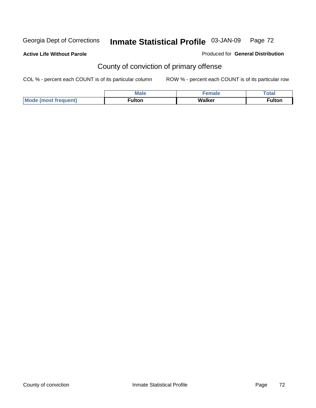**Active Life Without Parole** 

Produced for **General Distribution**

### County of conviction of primary offense

|                             | <b>Male</b> | emale  | $\tau$ otar |
|-----------------------------|-------------|--------|-------------|
| <b>Mode (most frequent)</b> | ™ulton      | Walker | ≂ulton      |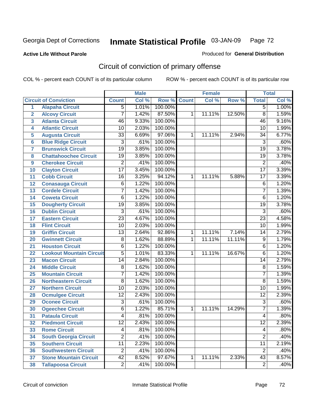**Active Life Without Parole** 

Produced for **General Distribution**

# Circuit of conviction of primary offense

|                         |                                 |                 | <b>Male</b> |                    |   | <b>Female</b> |        |                 | <b>Total</b> |
|-------------------------|---------------------------------|-----------------|-------------|--------------------|---|---------------|--------|-----------------|--------------|
|                         | <b>Circuit of Conviction</b>    | <b>Count</b>    | Col %       | <b>Row % Count</b> |   | Col %         | Row %  | <b>Total</b>    | Col %        |
| $\overline{1}$          | <b>Alapaha Circuit</b>          | $\overline{5}$  | 1.01%       | 100.00%            |   |               |        | $\overline{5}$  | 1.00%        |
| $\overline{2}$          | <b>Alcovy Circuit</b>           | $\overline{7}$  | 1.42%       | 87.50%             | 1 | 11.11%        | 12.50% | $\overline{8}$  | 1.59%        |
| 3                       | <b>Atlanta Circuit</b>          | $\overline{46}$ | 9.33%       | 100.00%            |   |               |        | 46              | 9.16%        |
| 4                       | <b>Atlantic Circuit</b>         | 10              | 2.03%       | 100.00%            |   |               |        | 10              | 1.99%        |
| 5                       | <b>Augusta Circuit</b>          | $\overline{33}$ | 6.69%       | 97.06%             | 1 | 11.11%        | 2.94%  | $\overline{34}$ | 6.77%        |
| 6                       | <b>Blue Ridge Circuit</b>       | 3               | .61%        | 100.00%            |   |               |        | $\overline{3}$  | .60%         |
| $\overline{\mathbf{7}}$ | <b>Brunswick Circuit</b>        | $\overline{19}$ | 3.85%       | 100.00%            |   |               |        | $\overline{19}$ | 3.78%        |
| 8                       | <b>Chattahoochee Circuit</b>    | 19              | 3.85%       | 100.00%            |   |               |        | 19              | 3.78%        |
| 9                       | <b>Cherokee Circuit</b>         | $\overline{2}$  | .41%        | 100.00%            |   |               |        | $\overline{2}$  | .40%         |
| 10                      | <b>Clayton Circuit</b>          | $\overline{17}$ | 3.45%       | 100.00%            |   |               |        | $\overline{17}$ | 3.39%        |
| 11                      | <b>Cobb Circuit</b>             | $\overline{16}$ | 3.25%       | 94.12%             | 1 | 11.11%        | 5.88%  | $\overline{17}$ | 3.39%        |
| 12                      | <b>Conasauga Circuit</b>        | 6               | 1.22%       | 100.00%            |   |               |        | $\,6$           | 1.20%        |
| 13                      | <b>Cordele Circuit</b>          | $\overline{7}$  | 1.42%       | 100.00%            |   |               |        | $\overline{7}$  | 1.39%        |
| 14                      | <b>Coweta Circuit</b>           | $\overline{6}$  | 1.22%       | 100.00%            |   |               |        | 6               | 1.20%        |
| 15                      | <b>Dougherty Circuit</b>        | $\overline{19}$ | 3.85%       | 100.00%            |   |               |        | $\overline{19}$ | 3.78%        |
| 16                      | <b>Dublin Circuit</b>           | $\overline{3}$  | .61%        | 100.00%            |   |               |        | 3               | .60%         |
| 17                      | <b>Eastern Circuit</b>          | $\overline{23}$ | 4.67%       | 100.00%            |   |               |        | $\overline{23}$ | 4.58%        |
| 18                      | <b>Flint Circuit</b>            | 10              | 2.03%       | 100.00%            |   |               |        | 10              | 1.99%        |
| 19                      | <b>Griffin Circuit</b>          | $\overline{13}$ | 2.64%       | 92.86%             | 1 | 11.11%        | 7.14%  | $\overline{14}$ | 2.79%        |
| 20                      | <b>Gwinnett Circuit</b>         | 8               | 1.62%       | 88.89%             | 1 | 11.11%        | 11.11% | 9               | 1.79%        |
| 21                      | <b>Houston Circuit</b>          | $\overline{6}$  | 1.22%       | 100.00%            |   |               |        | 6               | 1.20%        |
| 22                      | <b>Lookout Mountain Circuit</b> | $\overline{5}$  | 1.01%       | 83.33%             | 1 | 11.11%        | 16.67% | 6               | 1.20%        |
| 23                      | <b>Macon Circuit</b>            | $\overline{14}$ | 2.84%       | 100.00%            |   |               |        | $\overline{14}$ | 2.79%        |
| 24                      | <b>Middle Circuit</b>           | 8               | 1.62%       | 100.00%            |   |               |        | 8               | 1.59%        |
| 25                      | <b>Mountain Circuit</b>         | $\overline{7}$  | 1.42%       | 100.00%            |   |               |        | $\overline{7}$  | 1.39%        |
| 26                      | <b>Northeastern Circuit</b>     | $\overline{8}$  | 1.62%       | 100.00%            |   |               |        | $\overline{8}$  | 1.59%        |
| 27                      | <b>Northern Circuit</b>         | $\overline{10}$ | 2.03%       | 100.00%            |   |               |        | $\overline{10}$ | 1.99%        |
| 28                      | <b>Ocmulgee Circuit</b>         | 12              | 2.43%       | 100.00%            |   |               |        | $\overline{12}$ | 2.39%        |
| 29                      | <b>Oconee Circuit</b>           | $\overline{3}$  | .61%        | 100.00%            |   |               |        | $\overline{3}$  | .60%         |
| 30                      | <b>Ogeechee Circuit</b>         | $\overline{6}$  | 1.22%       | 85.71%             | 1 | 11.11%        | 14.29% | $\overline{7}$  | 1.39%        |
| $\overline{31}$         | <b>Pataula Circuit</b>          | 4               | .81%        | 100.00%            |   |               |        | 4               | .80%         |
| 32                      | <b>Piedmont Circuit</b>         | 12 <sub>2</sub> | 2.43%       | 100.00%            |   |               |        | 12              | 2.39%        |
| 33                      | <b>Rome Circuit</b>             | 4               | .81%        | 100.00%            |   |               |        | 4               | .80%         |
| 34                      | <b>South Georgia Circuit</b>    | $\overline{2}$  | .41%        | 100.00%            |   |               |        | $\overline{2}$  | .40%         |
| 35                      | <b>Southern Circuit</b>         | $\overline{11}$ | 2.23%       | 100.00%            |   |               |        | $\overline{11}$ | 2.19%        |
| 36                      | <b>Southwestern Circuit</b>     | $\overline{2}$  | .41%        | 100.00%            |   |               |        | $\overline{2}$  | .40%         |
| 37                      | <b>Stone Mountain Circuit</b>   | 42              | 8.52%       | 97.67%             | 1 | 11.11%        | 2.33%  | 43              | 8.57%        |
| 38                      | <b>Tallapoosa Circuit</b>       | $\overline{2}$  | .41%        | 100.00%            |   |               |        | $\overline{2}$  | .40%         |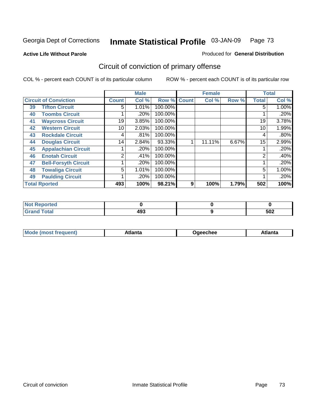**Active Life Without Parole** 

Produced for **General Distribution**

# Circuit of conviction of primary offense

|                      |                              |                 | <b>Male</b> |             |   | <b>Female</b> |       |              | <b>Total</b> |
|----------------------|------------------------------|-----------------|-------------|-------------|---|---------------|-------|--------------|--------------|
|                      | <b>Circuit of Conviction</b> | <b>Count</b>    | Col %       | Row % Count |   | Col %         | Row % | <b>Total</b> | Col %        |
| 39                   | <b>Tifton Circuit</b>        | 5               | 1.01%       | 100.00%     |   |               |       | 5            | $1.00\%$     |
| 40                   | <b>Toombs Circuit</b>        |                 | .20%        | 100.00%     |   |               |       |              | .20%         |
| 41                   | <b>Waycross Circuit</b>      | 19              | 3.85%       | 100.00%     |   |               |       | 19           | 3.78%        |
| 42                   | <b>Western Circuit</b>       | 10              | 2.03%       | 100.00%     |   |               |       | 10           | 1.99%        |
| 43                   | <b>Rockdale Circuit</b>      | 4               | .81%        | 100.00%     |   |               |       | 4            | .80%         |
| 44                   | <b>Douglas Circuit</b>       | 14 <sub>1</sub> | 2.84%       | 93.33%      |   | 11.11%        | 6.67% | 15           | 2.99%        |
| 45                   | <b>Appalachian Circuit</b>   |                 | .20%        | 100.00%     |   |               |       |              | .20%         |
| 46                   | <b>Enotah Circuit</b>        | 2               | .41%        | 100.00%     |   |               |       | 2            | .40%         |
| 47                   | <b>Bell-Forsyth Circuit</b>  |                 | .20%        | 100.00%     |   |               |       |              | .20%         |
| 48                   | <b>Towaliga Circuit</b>      | 5               | 1.01%       | 100.00%     |   |               |       | 5            | 1.00%        |
| 49                   | <b>Paulding Circuit</b>      |                 | .20%        | 100.00%     |   |               |       |              | .20%         |
| <b>Total Rported</b> |                              | 493             | 100%        | 98.21%      | 9 | 100%          | 1.79% | 502          | 100%         |

| <b>eported</b>        |     |     |
|-----------------------|-----|-----|
| <b>otal</b><br>$\sim$ | 493 | 502 |

|  | M | *****<br>⊡alilu | chee | .<br>''ILC |
|--|---|-----------------|------|------------|
|--|---|-----------------|------|------------|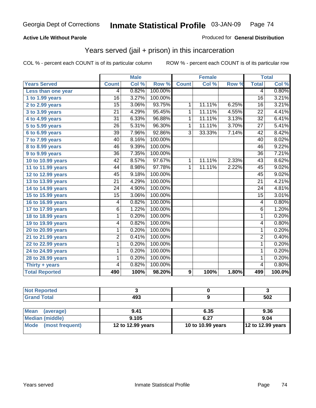### **Active Life Without Parole**

#### Produced for **General Distribution**

## Years served (jail + prison) in this incarceration

|                       |                 | <b>Male</b> |         |                | <b>Female</b> |       |                         | <b>Total</b>               |
|-----------------------|-----------------|-------------|---------|----------------|---------------|-------|-------------------------|----------------------------|
| <b>Years Served</b>   | <b>Count</b>    | Col %       | Row %   | <b>Count</b>   | Col %         | Row % | <b>Total</b>            | $\overline{\text{Col }^9}$ |
| Less than one year    | 4               | 0.82%       | 100.00% |                |               |       | 4                       | 0.80%                      |
| 1 to 1.99 years       | 16              | 3.27%       | 100.00% |                |               |       | $\overline{16}$         | 3.21%                      |
| $2$ to 2.99 years     | $\overline{15}$ | 3.06%       | 93.75%  | $\overline{1}$ | 11.11%        | 6.25% | $\overline{16}$         | 3.21%                      |
| 3 to 3.99 years       | $\overline{21}$ | 4.29%       | 95.45%  | $\overline{1}$ | 11.11%        | 4.55% | $\overline{22}$         | 4.41%                      |
| 4 to 4.99 years       | $\overline{31}$ | 6.33%       | 96.88%  | $\overline{1}$ | 11.11%        | 3.13% | $\overline{32}$         | 6.41%                      |
| 5 to 5.99 years       | $\overline{26}$ | 5.31%       | 96.30%  | $\mathbf 1$    | 11.11%        | 3.70% | $\overline{27}$         | 5.41%                      |
| 6 to 6.99 years       | $\overline{39}$ | 7.96%       | 92.86%  | $\overline{3}$ | 33.33%        | 7.14% | 42                      | 8.42%                      |
| 7 to 7.99 years       | 40              | 8.16%       | 100.00% |                |               |       | $\overline{40}$         | 8.02%                      |
| 8 to 8.99 years       | 46              | 9.39%       | 100.00% |                |               |       | 46                      | 9.22%                      |
| 9 to 9.99 years       | $\overline{36}$ | 7.35%       | 100.00% |                |               |       | $\overline{36}$         | 7.21%                      |
| 10 to 10.99 years     | $\overline{42}$ | 8.57%       | 97.67%  | 1              | 11.11%        | 2.33% | $\overline{43}$         | 8.62%                      |
| 11 to 11.99 years     | 44              | 8.98%       | 97.78%  | $\overline{1}$ | 11.11%        | 2.22% | 45                      | 9.02%                      |
| 12 to 12.99 years     | 45              | 9.18%       | 100.00% |                |               |       | 45                      | 9.02%                      |
| 13 to 13.99 years     | 21              | 4.29%       | 100.00% |                |               |       | $\overline{21}$         | 4.21%                      |
| 14 to 14.99 years     | $\overline{24}$ | 4.90%       | 100.00% |                |               |       | $\overline{24}$         | 4.81%                      |
| 15 to 15.99 years     | 15              | 3.06%       | 100.00% |                |               |       | 15                      | 3.01%                      |
| 16 to 16.99 years     | 4               | 0.82%       | 100.00% |                |               |       | $\overline{\mathbf{4}}$ | 0.80%                      |
| 17 to 17.99 years     | $\overline{6}$  | 1.22%       | 100.00% |                |               |       | $\overline{6}$          | 1.20%                      |
| 18 to 18.99 years     | $\overline{1}$  | 0.20%       | 100.00% |                |               |       | $\mathbf{1}$            | 0.20%                      |
| 19 to 19.99 years     | 4               | 0.82%       | 100.00% |                |               |       | 4                       | 0.80%                      |
| 20 to 20.99 years     | 1               | 0.20%       | 100.00% |                |               |       | $\mathbf{1}$            | 0.20%                      |
| 21 to 21.99 years     | 2               | 0.41%       | 100.00% |                |               |       | $\overline{2}$          | 0.40%                      |
| 22 to 22.99 years     | 1               | 0.20%       | 100.00% |                |               |       | 1                       | 0.20%                      |
| 24 to 24.99 years     | 1               | 0.20%       | 100.00% |                |               |       | 1                       | 0.20%                      |
| 28 to 28.99 years     | 1               | 0.20%       | 100.00% |                |               |       | 1                       | 0.20%                      |
| Thirty + years        | 4               | 0.82%       | 100.00% |                |               |       | $\overline{4}$          | 0.80%                      |
| <b>Total Reported</b> | 490             | 100%        | 98.20%  | 9              | 100%          | 1.80% | 499                     | 100.0%                     |

| <b>Not Reported</b>      |                   |                   |                   |
|--------------------------|-------------------|-------------------|-------------------|
| <b>Grand Total</b>       | 493               |                   | 502               |
|                          |                   |                   |                   |
| <b>Mean</b><br>(average) | 9.41              | 6.35              | 9.36              |
| <b>Median (middle)</b>   | 9.105             | 6.27              | 9.04              |
| Mode<br>(most frequent)  | 12 to 12.99 years | 10 to 10.99 years | 12 to 12.99 years |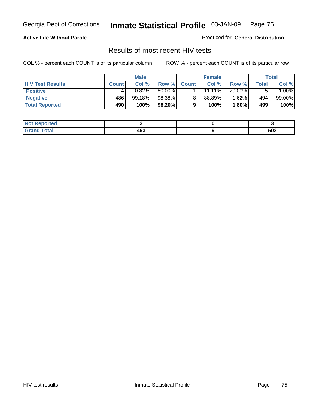### **Active Life Without Parole**

Produced for **General Distribution**

### Results of most recent HIV tests

|                         |              | <b>Male</b> |        |              | <b>Female</b> |          |       | Total     |
|-------------------------|--------------|-------------|--------|--------------|---------------|----------|-------|-----------|
| <b>HIV Test Results</b> | <b>Count</b> | Col %       | Row %  | <b>Count</b> | Col %         | Row %    | Total | Col %     |
| <b>Positive</b>         |              | 0.82%       | 80.00% |              | 11.11%        | 20.00%   |       | $1.00\%$  |
| <b>Negative</b>         | 486          | 99.18%      | 98.38% |              | 88.89%        | 1.62%    | 494   | $99.00\%$ |
| <b>Total Reported</b>   | 490          | 100%        | 98.20% |              | 100%          | $1.80\%$ | 499   | 100%      |

| <b>Not Reported</b>          |     |     |
|------------------------------|-----|-----|
| <b>Fotal</b><br><b>Grove</b> | 493 | 502 |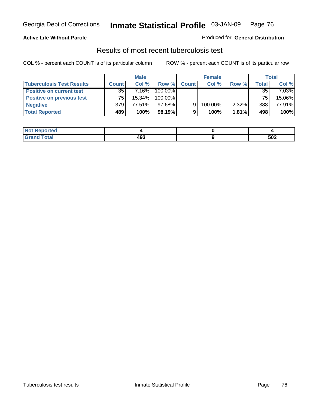### **Active Life Without Parole**

#### Produced for **General Distribution**

### Results of most recent tuberculosis test

|                                  |              | <b>Male</b> |         |              | <b>Female</b> |          |         | Total    |
|----------------------------------|--------------|-------------|---------|--------------|---------------|----------|---------|----------|
| <b>Tuberculosis Test Results</b> | <b>Count</b> | Col%        | Row %   | <b>Count</b> | Col%          | Row %    | Total i | Col %    |
| <b>Positive on current test</b>  | 35           | 7.16%       | 100.00% |              |               |          | 35      | $7.03\%$ |
| <b>Positive on previous test</b> | 75           | 15.34%      | 100.00% |              |               |          | 75      | 15.06%   |
| <b>Negative</b>                  | 379          | 77.51%      | 97.68%  | 9            | 100.00%       | $2.32\%$ | 388     | 77.91%   |
| <b>Total Reported</b>            | 489          | 100%        | 98.19%  |              | 100%          | 1.81%    | 498     | 100%     |

| <b>Reported</b><br><b>NOT</b> |     |     |
|-------------------------------|-----|-----|
| <b>Total</b>                  | 493 | 502 |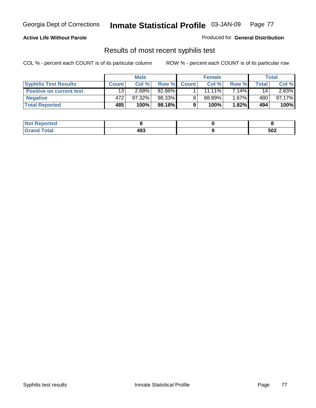### **Active Life Without Parole**

Produced for **General Distribution**

### Results of most recent syphilis test

|                                 |              | <b>Male</b> |        |              | <b>Female</b> |          |       | Total     |
|---------------------------------|--------------|-------------|--------|--------------|---------------|----------|-------|-----------|
| <b>Syphilis Test Results</b>    | <b>Count</b> | Col %       | Row %  | <b>Count</b> | Col %         | Row %    | Total | Col %     |
| <b>Positive on current test</b> | 13           | $2.68\%$    | 92.86% |              | $11.11\%$     | $7.14\%$ | 14    | $2.83\%$  |
| <b>Negative</b>                 | 472          | $97.32\%$   | 98.33% |              | 88.89%        | 1.67%    | 480   | $97.17\%$ |
| <b>Total Reported</b>           | 485          | 100%        | 98.18% |              | 100%          | 1.82%    | 494   | 100%      |

| <b>Not Reported</b> |     |     |
|---------------------|-----|-----|
| <b>Grand Total</b>  | 493 | 502 |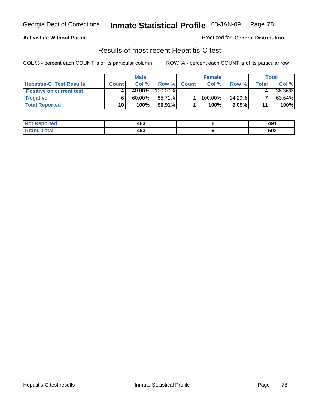### **Active Life Without Parole**

Produced for **General Distribution**

### Results of most recent Hepatitis-C test

|                                 |              | <b>Male</b> |           |              | <b>Female</b> |           |       | Total  |
|---------------------------------|--------------|-------------|-----------|--------------|---------------|-----------|-------|--------|
| <b>Hepatitis-C Test Results</b> | <b>Count</b> | Col %       | Row %     | <b>Count</b> | Col %         | Row %     | Total | Col %  |
| <b>Positive on current test</b> |              | $40.00\%$   | 100.00%   |              |               |           |       | 36.36% |
| <b>Negative</b>                 |              | $60.00\%$   | 85.71%    |              | 100.00%       | $14.29\%$ |       | 63.64% |
| <b>Total Reported</b>           | 10           | 100%        | $90.91\%$ |              | 100%          | $9.09\%$  | 11    | 100%   |

| <b>Not Reported</b> | 483 | 491 |
|---------------------|-----|-----|
| <b>Grand Total</b>  | 493 | 502 |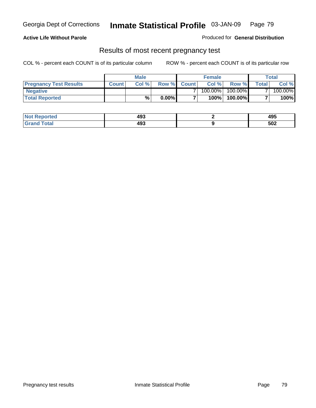#### **Active Life Without Parole**

Produced for **General Distribution**

### Results of most recent pregnancy test

|                               | <b>Male</b>  |      |          | <b>Female</b>  |            |         | <b>Total</b>   |         |
|-------------------------------|--------------|------|----------|----------------|------------|---------|----------------|---------|
| <b>Pregnancy Test Results</b> | <b>Count</b> | Col% | Row %    | <b>Count</b> Ⅰ | Col %      | Row %   | <b>Total</b> I | Col %   |
| <b>Negative</b>               |              |      |          |                | $100.00\%$ | 100.00% |                | 100.00% |
| <b>Total Reported</b>         |              | %    | $0.00\%$ |                | 100%       | 100.00% |                | 100%    |

| <b>Not Reported</b> | 493 | 495 |
|---------------------|-----|-----|
| <b>Grand Total</b>  | 493 | 502 |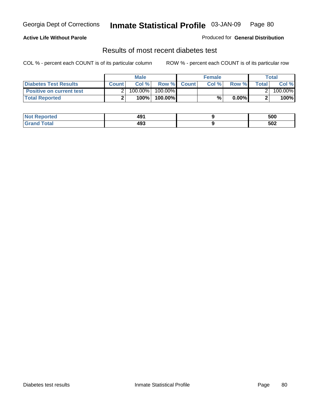### **Active Life Without Parole**

#### Produced for **General Distribution**

### Results of most recent diabetes test

|                                 |              | <b>Male</b> |            |             | <b>Female</b> |          |        | Total   |
|---------------------------------|--------------|-------------|------------|-------------|---------------|----------|--------|---------|
| <b>Diabetes Test Results</b>    | <b>Count</b> | Col %       |            | Row % Count | Col%          | Row %    | Totall | Col %   |
| <b>Positive on current test</b> |              | 100.00%     | $100.00\%$ |             |               |          |        | 100.00% |
| <b>Total Reported</b>           |              | 100%        | 100.00%    |             | %.            | $0.00\%$ |        | 100%    |

| <b>Not Reported</b> | 491 | 500 |
|---------------------|-----|-----|
| <b>Grand Total</b>  | 493 | 502 |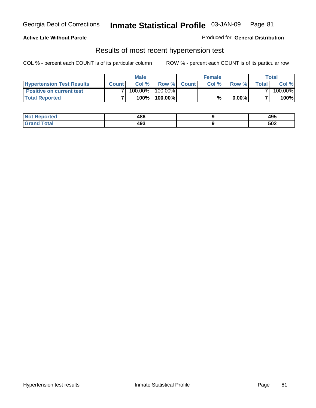### **Active Life Without Parole**

#### Produced for **General Distribution**

### Results of most recent hypertension test

|                                  | <b>Male</b>  |         |            | <b>Female</b> |      |          | <b>Total</b> |         |
|----------------------------------|--------------|---------|------------|---------------|------|----------|--------------|---------|
| <b>Hypertension Test Results</b> | <b>Count</b> | Col %   |            | Row % Count   | Col% | Row %    | Totall       | Col %   |
| <b>Positive on current test</b>  |              | 100.00% | $100.00\%$ |               |      |          |              | 100.00% |
| <b>Total Reported</b>            |              | 100%    | 100.00%    |               | %    | $0.00\%$ |              | 100%    |

| <b>eported</b> | 486<br>__ | 495 |
|----------------|-----------|-----|
| <b>Total</b>   | 493       | 502 |